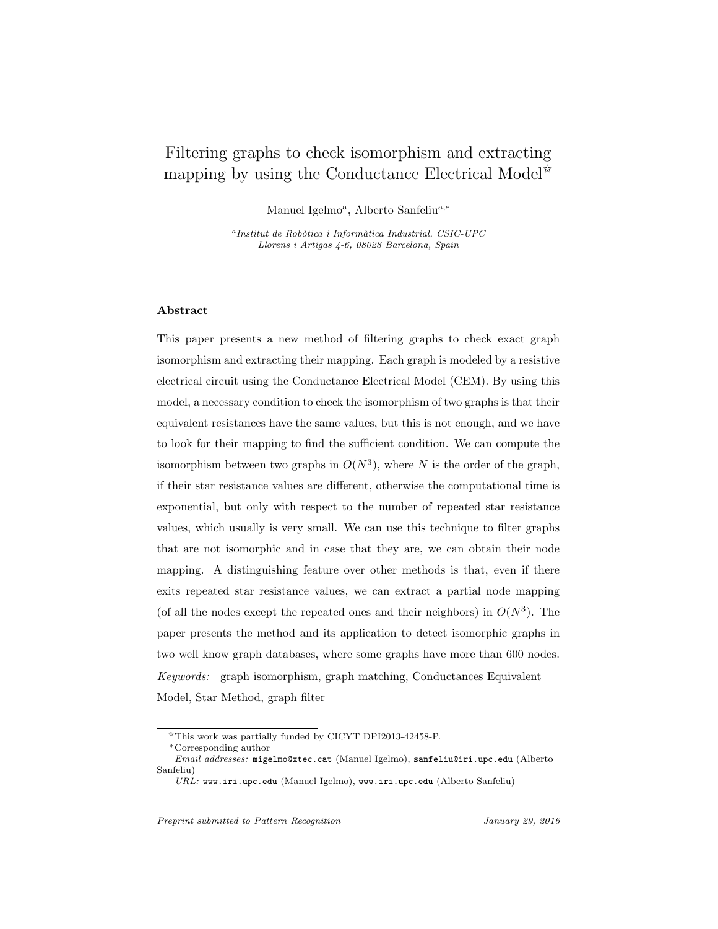# Filtering graphs to check isomorphism and extracting mapping by using the Conductance Electrical Model<sup> $\hat{\mathbf{x}}$ </sup>

Manuel Igelmo<sup>a</sup>, Alberto Sanfeliu<sup>a,\*</sup>

 $a$ Institut de Robòtica i Informàtica Industrial, CSIC-UPC Llorens i Artigas 4-6, 08028 Barcelona, Spain

# Abstract

This paper presents a new method of filtering graphs to check exact graph isomorphism and extracting their mapping. Each graph is modeled by a resistive electrical circuit using the Conductance Electrical Model (CEM). By using this model, a necessary condition to check the isomorphism of two graphs is that their equivalent resistances have the same values, but this is not enough, and we have to look for their mapping to find the sufficient condition. We can compute the isomorphism between two graphs in  $O(N^3)$ , where N is the order of the graph, if their star resistance values are different, otherwise the computational time is exponential, but only with respect to the number of repeated star resistance values, which usually is very small. We can use this technique to filter graphs that are not isomorphic and in case that they are, we can obtain their node mapping. A distinguishing feature over other methods is that, even if there exits repeated star resistance values, we can extract a partial node mapping (of all the nodes except the repeated ones and their neighbors) in  $O(N^3)$ . The paper presents the method and its application to detect isomorphic graphs in two well know graph databases, where some graphs have more than 600 nodes. Keywords: graph isomorphism, graph matching, Conductances Equivalent Model, Star Method, graph filter

<sup>✩</sup>This work was partially funded by CICYT DPI2013-42458-P.

<sup>∗</sup>Corresponding author

Email addresses: migelmo@xtec.cat (Manuel Igelmo), sanfeliu@iri.upc.edu (Alberto Sanfeliu)

 $URL$ : www.iri.upc.edu (Manuel Igelmo), www.iri.upc.edu (Alberto Sanfeliu)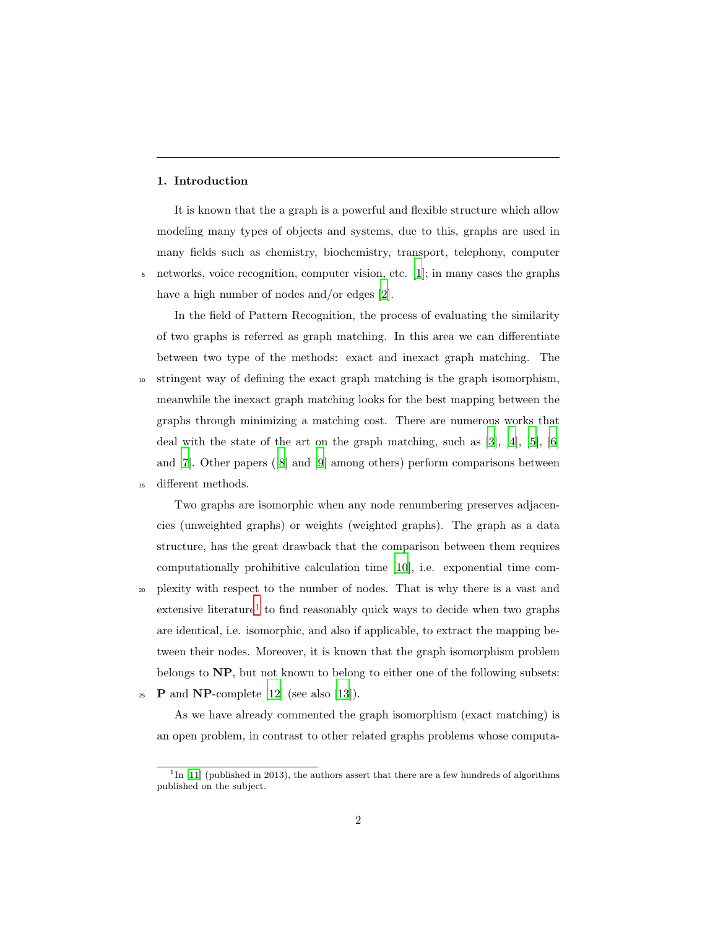# 1. Introduction

It is known that the a graph is a powerful and flexible structure which allow modeling many types of objects and systems, due to this, graphs are used in many fields such as chemistry, biochemistry, transport, telephony, computer <sup>5</sup> networks, voice recognition, computer vision, etc. [\[1\]](#page-41-0); in many cases the graphs have a high number of nodes and/or edges [\[2](#page-41-1)].

In the field of Pattern Recognition, the process of evaluating the similarity of two graphs is referred as graph matching. In this area we can differentiate between two type of the methods: exact and inexact graph matching. The <sup>10</sup> stringent way of defining the exact graph matching is the graph isomorphism, meanwhile the inexact graph matching looks for the best mapping between the graphs through minimizing a matching cost. There are numerous works that deal with the state of the art on the graph matching, such as [\[3\]](#page-41-2), [\[4\]](#page-42-0), [\[5](#page-42-1)], [\[6\]](#page-42-2) and [\[7\]](#page-42-3). Other papers([\[8](#page-42-4)] and [\[9](#page-42-5)] among others) perform comparisons between <sup>15</sup> different methods.

Two graphs are isomorphic when any node renumbering preserves adjacencies (unweighted graphs) or weights (weighted graphs). The graph as a data structure, has the great drawback that the comparison between them requires computationally prohibitive calculation time [\[10\]](#page-42-6), i.e. exponential time com-<sup>20</sup> plexity with respect to the number of nodes. That is why there is a vast and extensive literature<sup>1</sup> to find reasonably quick ways to decide when two graphs are identical, i.e. isomorphic, and also if applicable, to extract the mapping between their nodes. Moreover, it is known that the graph isomorphism problem belongs to NP, but not known to belong to either one of the following subsets:

 $P$  and NP-complete [\[12](#page-42-7)] (see also [\[13\]](#page-43-0)).

As we have already commented the graph isomorphism (exact matching) is an open problem, in contrast to other related graphs problems whose computa-

 ${}^{1}$ In [\[11](#page-42-8)] (published in 2013), the authors assert that there are a few hundreds of algorithms published on the subject.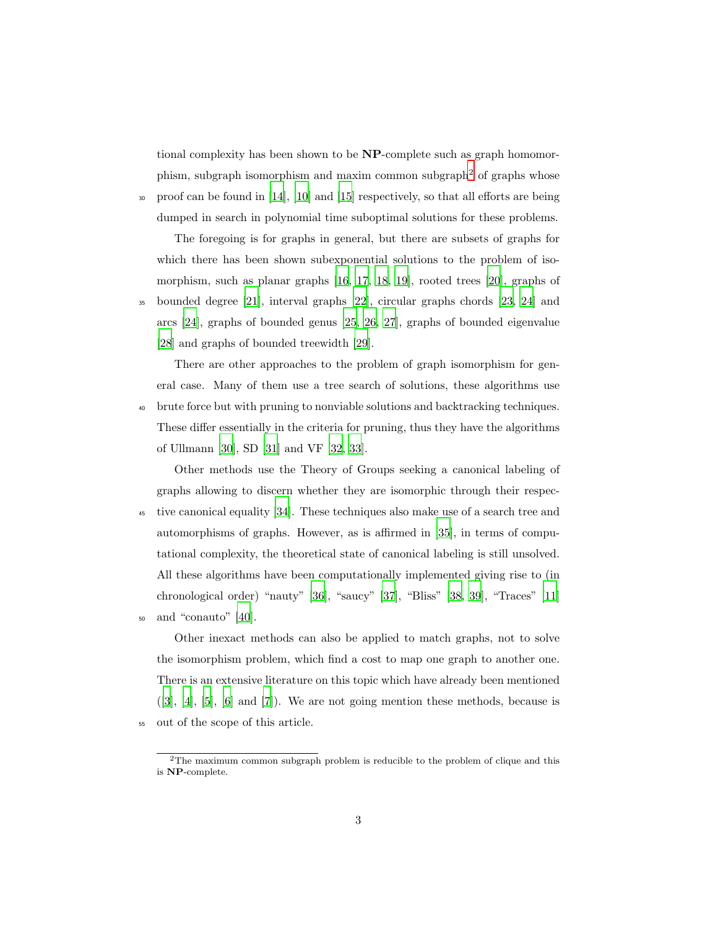tional complexity has been shown to be NP-complete such as graph homomorphism, subgraph isomorphism and maxim common subgraph<sup>2</sup> of graphs whose

<sup>30</sup> proof can be found in [\[14\]](#page-43-1), [\[10\]](#page-42-6) and [\[15](#page-43-2)] respectively, so that all efforts are being dumped in search in polynomial time suboptimal solutions for these problems.

The foregoing is for graphs in general, but there are subsets of graphs for which there has been shown subexponential solutions to the problem of isomorphism, such as planar graphs [\[16](#page-43-3), [17](#page-43-4), [18,](#page-43-5) [19\]](#page-43-6), rooted trees [\[20\]](#page-43-7), graphs of

<sup>35</sup> bounded degree [\[21\]](#page-43-8), interval graphs [\[22\]](#page-44-0), circular graphs chords [\[23,](#page-44-1) [24](#page-44-2)] and arcs [\[24\]](#page-44-2), graphs of bounded genus [\[25](#page-44-3), [26,](#page-44-4) [27\]](#page-44-5), graphs of bounded eigenvalue [\[28](#page-44-6)] and graphs of bounded treewidth [\[29\]](#page-44-7).

There are other approaches to the problem of graph isomorphism for general case. Many of them use a tree search of solutions, these algorithms use <sup>40</sup> brute force but with pruning to nonviable solutions and backtracking techniques. These differ essentially in the criteria for pruning, thus they have the algorithms of Ullmann [\[30\]](#page-45-0), SD [\[31\]](#page-45-1) and VF [\[32](#page-45-2), [33](#page-45-3)].

Other methods use the Theory of Groups seeking a canonical labeling of graphs allowing to discern whether they are isomorphic through their respec-<sup>45</sup> tive canonical equality [\[34\]](#page-45-4). These techniques also make use of a search tree and automorphisms of graphs. However, as is affirmed in [\[35\]](#page-45-5), in terms of computational complexity, the theoretical state of canonical labeling is still unsolved. All these algorithms have been computationally implemented giving rise to (in chronological order) "nauty" [\[36\]](#page-45-6), "saucy" [\[37\]](#page-45-7), "Bliss" [\[38,](#page-45-8) [39](#page-46-0)], "Traces" [\[11\]](#page-42-8) <sup>50</sup> and "conauto" [\[40](#page-46-1)].

Other inexact methods can also be applied to match graphs, not to solve the isomorphism problem, which find a cost to map one graph to another one. There is an extensive literature on this topic which have already been mentioned  $([3], [4], [5], [6]$  $([3], [4], [5], [6]$  $([3], [4], [5], [6]$  $([3], [4], [5], [6]$  $([3], [4], [5], [6]$  $([3], [4], [5], [6]$  $([3], [4], [5], [6]$  $([3], [4], [5], [6]$  and  $[7]$ ). We are not going mention these methods, because is <sup>55</sup> out of the scope of this article.

 $2$ The maximum common subgraph problem is reducible to the problem of clique and this is NP-complete.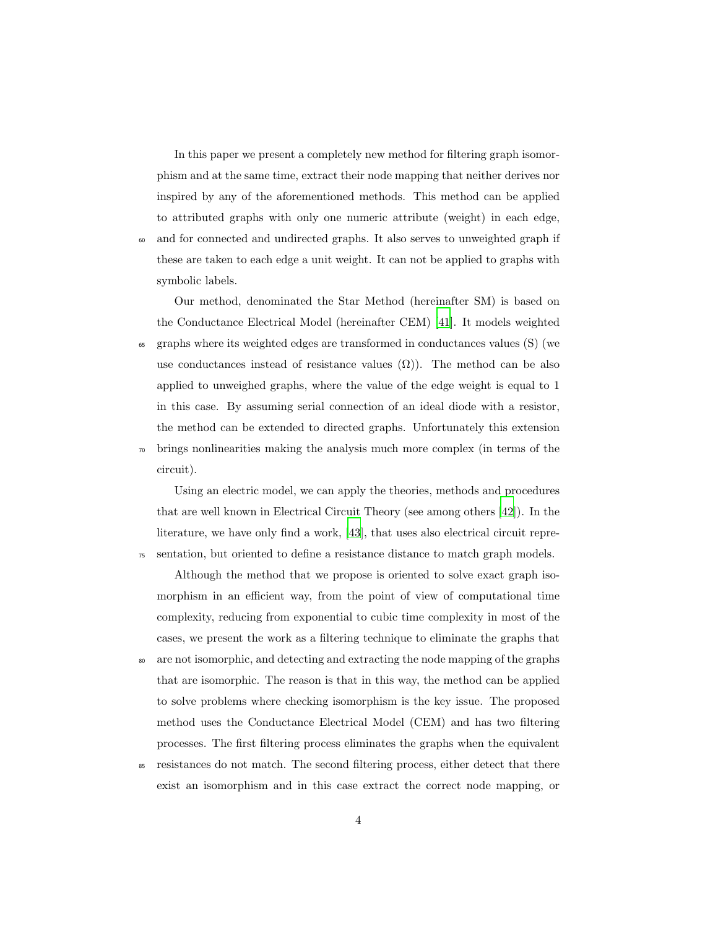In this paper we present a completely new method for filtering graph isomorphism and at the same time, extract their node mapping that neither derives nor inspired by any of the aforementioned methods. This method can be applied to attributed graphs with only one numeric attribute (weight) in each edge, <sup>60</sup> and for connected and undirected graphs. It also serves to unweighted graph if these are taken to each edge a unit weight. It can not be applied to graphs with symbolic labels.

Our method, denominated the Star Method (hereinafter SM) is based on the Conductance Electrical Model (hereinafter CEM) [\[41\]](#page-46-2). It models weighted <sup>65</sup> graphs where its weighted edges are transformed in conductances values (S) (we use conductances instead of resistance values  $(\Omega)$ ). The method can be also applied to unweighed graphs, where the value of the edge weight is equal to 1 in this case. By assuming serial connection of an ideal diode with a resistor, the method can be extended to directed graphs. Unfortunately this extension <sup>70</sup> brings nonlinearities making the analysis much more complex (in terms of the circuit).

Using an electric model, we can apply the theories, methods and procedures that are well known in Electrical Circuit Theory (see among others [\[42\]](#page-46-3)). In the literature, we have only find a work, [\[43\]](#page-46-4), that uses also electrical circuit repre-<sup>75</sup> sentation, but oriented to define a resistance distance to match graph models.

Although the method that we propose is oriented to solve exact graph isomorphism in an efficient way, from the point of view of computational time complexity, reducing from exponential to cubic time complexity in most of the cases, we present the work as a filtering technique to eliminate the graphs that

- <sup>80</sup> are not isomorphic, and detecting and extracting the node mapping of the graphs that are isomorphic. The reason is that in this way, the method can be applied to solve problems where checking isomorphism is the key issue. The proposed method uses the Conductance Electrical Model (CEM) and has two filtering processes. The first filtering process eliminates the graphs when the equivalent
- <sup>85</sup> resistances do not match. The second filtering process, either detect that there exist an isomorphism and in this case extract the correct node mapping, or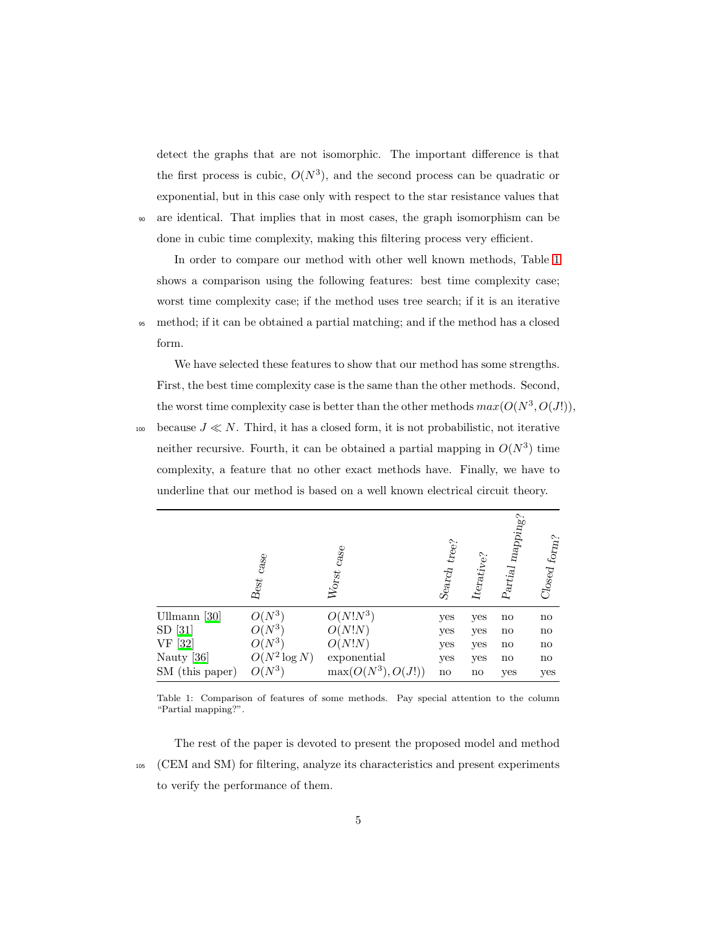detect the graphs that are not isomorphic. The important difference is that the first process is cubic,  $O(N^3)$ , and the second process can be quadratic or exponential, but in this case only with respect to the star resistance values that <sup>90</sup> are identical. That implies that in most cases, the graph isomorphism can be

done in cubic time complexity, making this filtering process very efficient.

In order to compare our method with other well known methods, Table [1](#page-4-0) shows a comparison using the following features: best time complexity case; worst time complexity case; if the method uses tree search; if it is an iterative <sup>95</sup> method; if it can be obtained a partial matching; and if the method has a closed form.

We have selected these features to show that our method has some strengths. First, the best time complexity case is the same than the other methods. Second, the worst time complexity case is better than the other methods  $max(O(N^3, O(J')))$ ,

100 because  $J \ll N$ . Third, it has a closed form, it is not probabilistic, not iterative neither recursive. Fourth, it can be obtained a partial mapping in  $O(N^3)$  time complexity, a feature that no other exact methods have. Finally, we have to underline that our method is based on a well known electrical circuit theory.

<span id="page-4-0"></span>

|                 | case<br>$\ensuremath{\mathsf{B}\textup{est}}$ | case<br>$W_{\rm O15f}$  | Search $_{\rm tree>}$ | $\label{eq:terative} \begin{aligned} \textit{Iterative} \end{aligned}$ | $\emph{napping?}$<br>${\cal P}artial$ | Closed form?           |
|-----------------|-----------------------------------------------|-------------------------|-----------------------|------------------------------------------------------------------------|---------------------------------------|------------------------|
| Ullmann $[30]$  | $O(N^3)$                                      | $O(N!N^3)$              | yes                   | yes                                                                    | no                                    | $\mathbf{n}\mathbf{o}$ |
| $SD$ [31]       | $O(N^3)$                                      | O(N!N)                  | yes                   | yes                                                                    | no                                    | $\mathbf{no}$          |
| VF [32]         | $O(N^3)$                                      | O(N!N)                  | yes                   | yes                                                                    | no                                    | $\mathbf{no}$          |
| Nauty [36]      | $O(N^2 \log N)$                               | exponential             | yes                   | yes                                                                    | no                                    | $\mathbf{no}$          |
| SM (this paper) | $O(N^3)$                                      | $\max(O(N^3))$<br>O(J!) | $\operatorname{no}$   | $\mathbf{n}\mathbf{o}$                                                 | yes                                   | yes                    |

Table 1: Comparison of features of some methods. Pay special attention to the column "Partial mapping?".

The rest of the paper is devoted to present the proposed model and method <sup>105</sup> (CEM and SM) for filtering, analyze its characteristics and present experiments to verify the performance of them.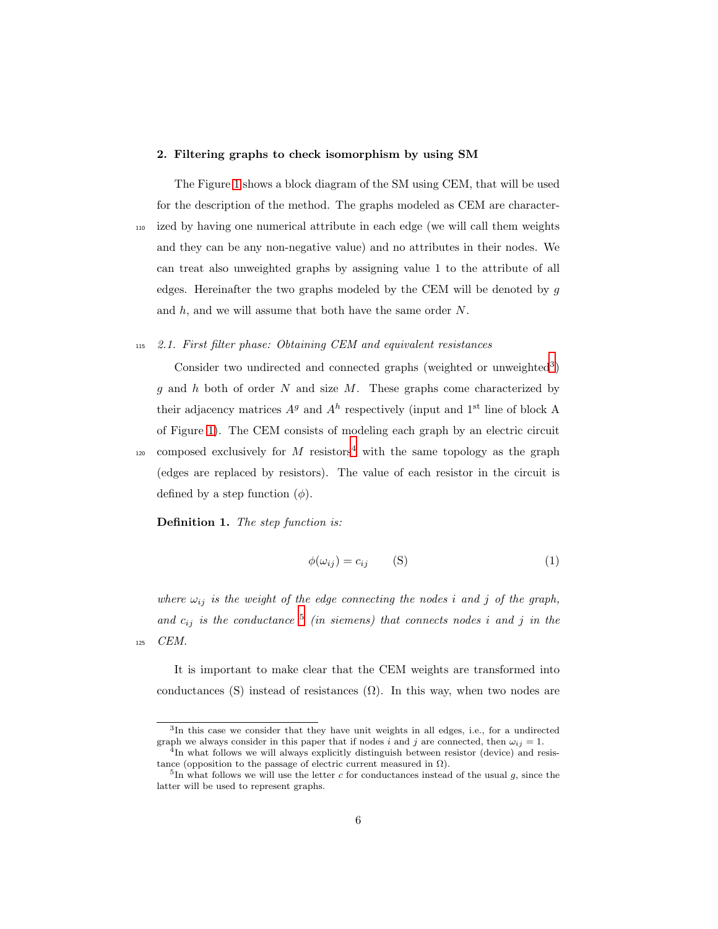#### 2. Filtering graphs to check isomorphism by using SM

The Figure [1](#page-6-0) shows a block diagram of the SM using CEM, that will be used for the description of the method. The graphs modeled as CEM are character-<sup>110</sup> ized by having one numerical attribute in each edge (we will call them weights and they can be any non-negative value) and no attributes in their nodes. We can treat also unweighted graphs by assigning value 1 to the attribute of all edges. Hereinafter the two graphs modeled by the CEM will be denoted by g and  $h$ , and we will assume that both have the same order  $N$ .

#### <sup>115</sup> 2.1. First filter phase: Obtaining CEM and equivalent resistances

Consider two undirected and connected graphs (weighted or unweighted<sup>3</sup>) q and h both of order N and size  $M$ . These graphs come characterized by their adjacency matrices  $A<sup>g</sup>$  and  $A<sup>h</sup>$  respectively (input and 1<sup>st</sup> line of block A of Figure [1\)](#page-6-0). The CEM consists of modeling each graph by an electric circuit

<sup>120</sup> composed exclusively for M resistors<sup>4</sup> with the same topology as the graph (edges are replaced by resistors). The value of each resistor in the circuit is defined by a step function  $(\phi)$ .

Definition 1. The step function is:

<span id="page-5-0"></span>
$$
\phi(\omega_{ij}) = c_{ij} \qquad \text{(S)} \tag{1}
$$

where  $\omega_{ij}$  is the weight of the edge connecting the nodes i and j of the graph, and  $c_{ij}$  is the conductance  $5$  (in siemens) that connects nodes i and j in the <sup>125</sup> CEM.

It is important to make clear that the CEM weights are transformed into conductances (S) instead of resistances  $(\Omega)$ . In this way, when two nodes are

<sup>3</sup> In this case we consider that they have unit weights in all edges, i.e., for a undirected graph we always consider in this paper that if nodes i and j are connected, then  $\omega_{ij} = 1$ .

<sup>&</sup>lt;sup>4</sup>In what follows we will always explicitly distinguish between resistor (device) and resistance (opposition to the passage of electric current measured in  $\Omega$ ).

<sup>&</sup>lt;sup>5</sup>In what follows we will use the letter c for conductances instead of the usual g, since the latter will be used to represent graphs.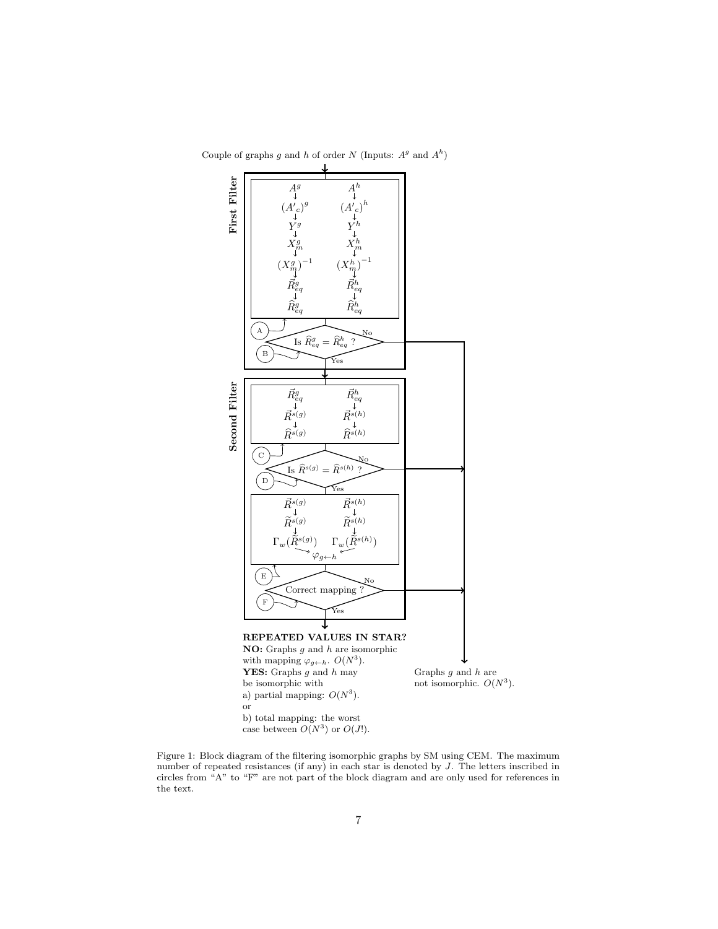

<span id="page-6-0"></span>Couple of graphs g and h of order N (Inputs:  $A<sup>g</sup>$  and  $A<sup>h</sup>$ )

Figure 1: Block diagram of the filtering isomorphic graphs by SM using CEM. The maximum number of repeated resistances (if any) in each star is denoted by J. The letters inscribed in circles from "A" to "F" are not part of the block diagram and are only used for references in the text.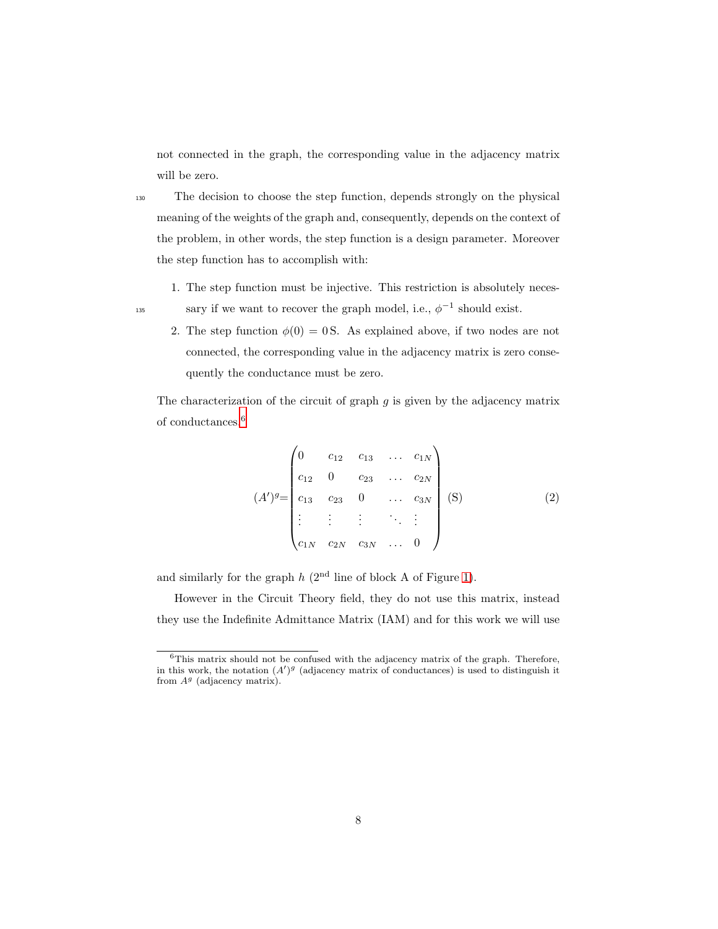not connected in the graph, the corresponding value in the adjacency matrix will be zero.

<sup>130</sup> The decision to choose the step function, depends strongly on the physical meaning of the weights of the graph and, consequently, depends on the context of the problem, in other words, the step function is a design parameter. Moreover the step function has to accomplish with:

- 1. The step function must be injective. This restriction is absolutely neces-
- 
- sary if we want to recover the graph model, i.e.,  $\phi^{-1}$  should exist.
	- 2. The step function  $\phi(0) = 0$  S. As explained above, if two nodes are not connected, the corresponding value in the adjacency matrix is zero consequently the conductance must be zero.

The characterization of the circuit of graph  $g$  is given by the adjacency matrix of conductances.<sup>6</sup>

$$
(A')^{g} = \begin{pmatrix} 0 & c_{12} & c_{13} & \dots & c_{1N} \\ c_{12} & 0 & c_{23} & \dots & c_{2N} \\ c_{13} & c_{23} & 0 & \dots & c_{3N} \\ \vdots & \vdots & \vdots & \ddots & \vdots \\ c_{1N} & c_{2N} & c_{3N} & \dots & 0 \end{pmatrix}
$$
 (S) (2)

and similarly for the graph  $h$  ( $2<sup>nd</sup>$  line of block A of Figure [1\)](#page-6-0).

However in the Circuit Theory field, they do not use this matrix, instead they use the Indefinite Admittance Matrix (IAM) and for this work we will use

 $6$ This matrix should not be confused with the adjacency matrix of the graph. Therefore, in this work, the notation  $(A')^g$  (adjacency matrix of conductances) is used to distinguish it from  $A<sup>g</sup>$  (adjacency matrix).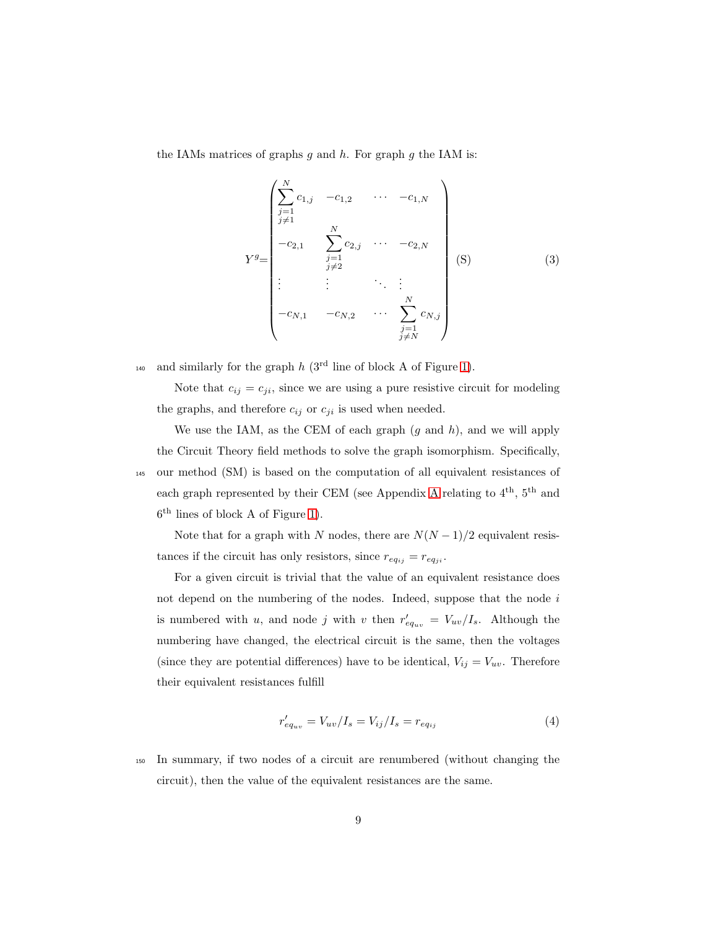the IAMs matrices of graphs  $g$  and  $h$ . For graph  $g$  the IAM is:

<span id="page-8-1"></span>
$$
Y^{g} = \begin{pmatrix} \sum_{\substack{j=1 \ j \neq 1}}^{N} c_{1,j} & -c_{1,2} & \cdots & -c_{1,N} \\ \sum_{\substack{j=1 \ j \neq 1}}^{N} & & & \\ -c_{2,1} & \sum_{\substack{j=1 \ j \neq 2}}^{N} c_{2,j} & \cdots & -c_{2,N} \\ \vdots & \vdots & \ddots & \vdots \\ -c_{N,1} & -c_{N,2} & \cdots & \sum_{\substack{j=1 \ j \neq N}}^{N} c_{N,j} \end{pmatrix}
$$
(S) (3)

<sup>140</sup> and similarly for the graph  $h$  (3<sup>rd</sup> line of block A of Figure [1\)](#page-6-0).

Note that  $c_{ij} = c_{ji}$ , since we are using a pure resistive circuit for modeling the graphs, and therefore  $c_{ij}$  or  $c_{ji}$  is used when needed.

We use the IAM, as the CEM of each graph  $(g \text{ and } h)$ , and we will apply the Circuit Theory field methods to solve the graph isomorphism. Specifically, <sup>145</sup> our method (SM) is based on the computation of all equivalent resistances of each graph represented by their CEM (see [A](#page-34-0)ppendix A relating to  $4^{th}$ ,  $5^{th}$  and 6 th lines of block A of Figure [1\)](#page-6-0).

Note that for a graph with  $N$  nodes, there are  ${\cal N}(N-1)/2$  equivalent resistances if the circuit has only resistors, since  $r_{eq_{ij}} = r_{eq_{ji}}$ .

For a given circuit is trivial that the value of an equivalent resistance does not depend on the numbering of the nodes. Indeed, suppose that the node  $i$ is numbered with u, and node j with v then  $r'_{eq_{uv}} = V_{uv}/I_s$ . Although the numbering have changed, the electrical circuit is the same, then the voltages (since they are potential differences) have to be identical,  $V_{ij} = V_{uv}$ . Therefore their equivalent resistances fulfill

<span id="page-8-0"></span>
$$
r'_{eq_{uv}} = V_{uv}/I_s = V_{ij}/I_s = r_{eq_{ij}}
$$
\n(4)

<sup>150</sup> In summary, if two nodes of a circuit are renumbered (without changing the circuit), then the value of the equivalent resistances are the same.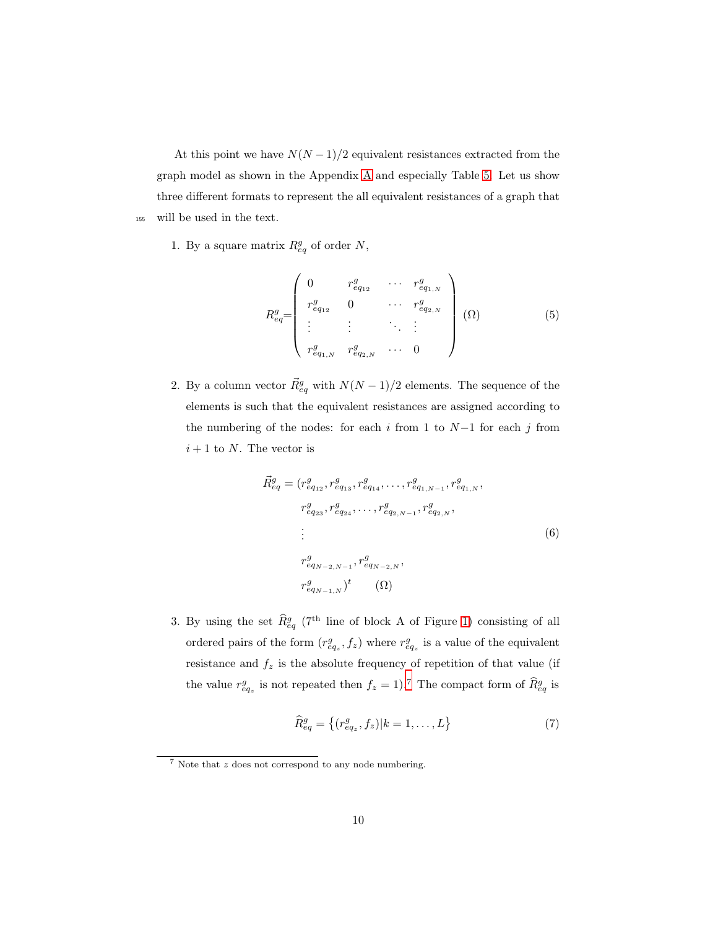At this point we have  $N(N-1)/2$  equivalent resistances extracted from the graph model as shown in the Appendix [A](#page-34-0) and especially Table [5.](#page-39-0) Let us show three different formats to represent the all equivalent resistances of a graph that <sup>155</sup> will be used in the text.

1. By a square matrix  $R_{eq}^g$  of order N,

$$
R_{eq}^{g} = \begin{pmatrix} 0 & r_{eq_{12}}^{g} & \cdots & r_{eq_{1,N}}^{g} \\ r_{eq_{12}}^{g} & 0 & \cdots & r_{eq_{2,N}}^{g} \\ \vdots & \vdots & \ddots & \vdots \\ r_{eq_{1,N}}^{g} & r_{eq_{2,N}}^{g} & \cdots & 0 \end{pmatrix} (0)
$$
 (5)

2. By a column vector  $\vec{R}_{eq}^g$  with  $N(N-1)/2$  elements. The sequence of the elements is such that the equivalent resistances are assigned according to the numbering of the nodes: for each i from 1 to  $N-1$  for each j from  $i+1$  to N. The vector is

$$
\vec{R}_{eq}^{g} = (r_{eq_{12}}^{g}, r_{eq_{13}}^{g}, r_{eq_{14}}^{g}, \dots, r_{eq_{1,N-1}}^{g}, r_{eq_{1,N}}^{g},
$$
\n
$$
r_{eq_{23}}^{g}, r_{eq_{24}}^{g}, \dots, r_{eq_{2,N-1}}^{g}, r_{eq_{2,N}}^{g},
$$
\n
$$
\vdots
$$
\n
$$
r_{eq_{N-2,N-1}}^{g}, r_{eq_{N-2,N}}^{g},
$$
\n
$$
(6)
$$
\n
$$
r_{eq_{N-1,N}}^{g})^{t} \qquad (\Omega)
$$

<span id="page-9-0"></span>3. By using the set  $\hat{R}_{eq}^g$  (7<sup>th</sup> line of block A of Figure [1\)](#page-6-0) consisting of all ordered pairs of the form  $(r_{eq_z}^g, f_z)$  where  $r_{eq_z}^g$  is a value of the equivalent resistance and  $f_z$  is the absolute frequency of repetition of that value (if the value  $r_{eq_z}^g$  is not repeated then  $f_z = 1$ .<sup>7</sup> The compact form of  $\widehat{R}_{eq}^g$  is

$$
\widehat{R}_{eq}^{g} = \{(r_{eq_z}^{g}, f_z)|k = 1, ..., L\}
$$
\n(7)

<sup>7</sup> Note that z does not correspond to any node numbering.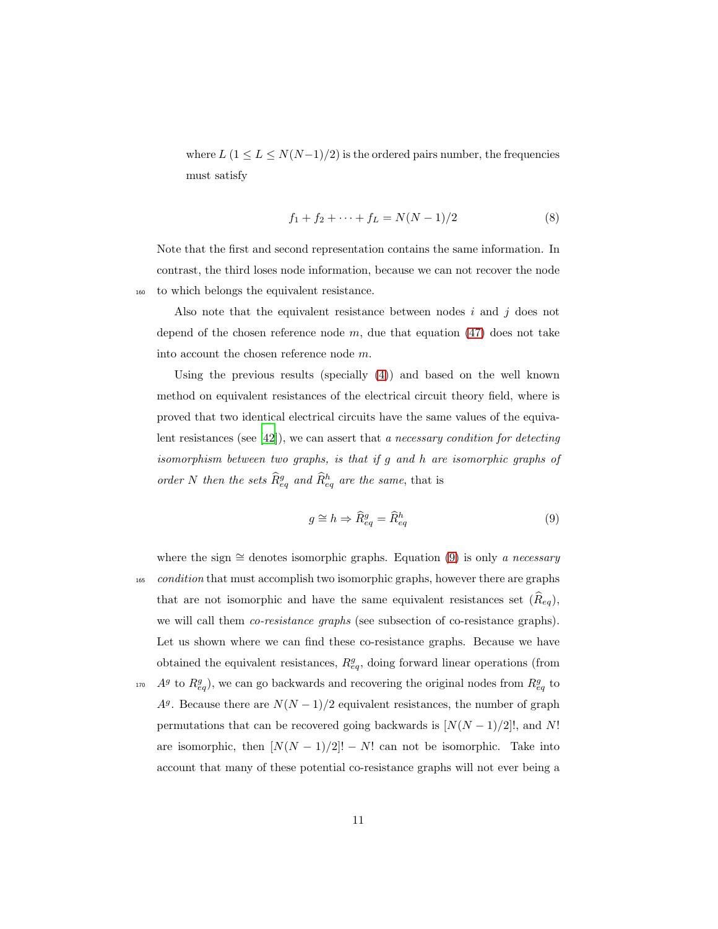where  $L$  (1  $\leq$   $L$   $\leq$   $N(N-1)/2)$  is the ordered pairs number, the frequencies must satisfy

$$
f_1 + f_2 + \dots + f_L = N(N - 1)/2 \tag{8}
$$

Note that the first and second representation contains the same information. In contrast, the third loses node information, because we can not recover the node <sup>160</sup> to which belongs the equivalent resistance.

Also note that the equivalent resistance between nodes  $i$  and  $j$  does not depend of the chosen reference node  $m$ , due that equation [\(47\)](#page-35-0) does not take into account the chosen reference node m.

Using the previous results (specially  $(4)$ ) and based on the well known method on equivalent resistances of the electrical circuit theory field, where is proved that two identical electrical circuits have the same values of the equivalent resistances (see [\[42](#page-46-3)]), we can assert that a necessary condition for detecting isomorphism between two graphs, is that if g and h are isomorphic graphs of order N then the sets  $\widehat{R}_{eq}^g$  and  $\widehat{R}_{eq}^h$  are the same, that is

<span id="page-10-0"></span>
$$
g \cong h \Rightarrow \widehat{R}_{eq}^g = \widehat{R}_{eq}^h \tag{9}
$$

where the sign  $\cong$  denotes isomorphic graphs. Equation [\(9\)](#page-10-0) is only a necessary <sup>165</sup> condition that must accomplish two isomorphic graphs, however there are graphs that are not isomorphic and have the same equivalent resistances set  $(\widehat{R}_{eq})$ , we will call them *co-resistance graphs* (see subsection of co-resistance graphs). Let us shown where we can find these co-resistance graphs. Because we have obtained the equivalent resistances,  $R_{eq}^g$ , doing forward linear operations (from <sup>170</sup>  $A<sup>g</sup>$  to  $R<sup>g</sup><sub>eq</sub>$ ), we can go backwards and recovering the original nodes from  $R<sup>g</sup><sub>eq</sub>$  to  $A<sup>g</sup>$ . Because there are  $N(N-1)/2$  equivalent resistances, the number of graph permutations that can be recovered going backwards is  $[N(N-1)/2]$ !, and N! are isomorphic, then  $[N(N-1)/2]! - N!$  can not be isomorphic. Take into account that many of these potential co-resistance graphs will not ever being a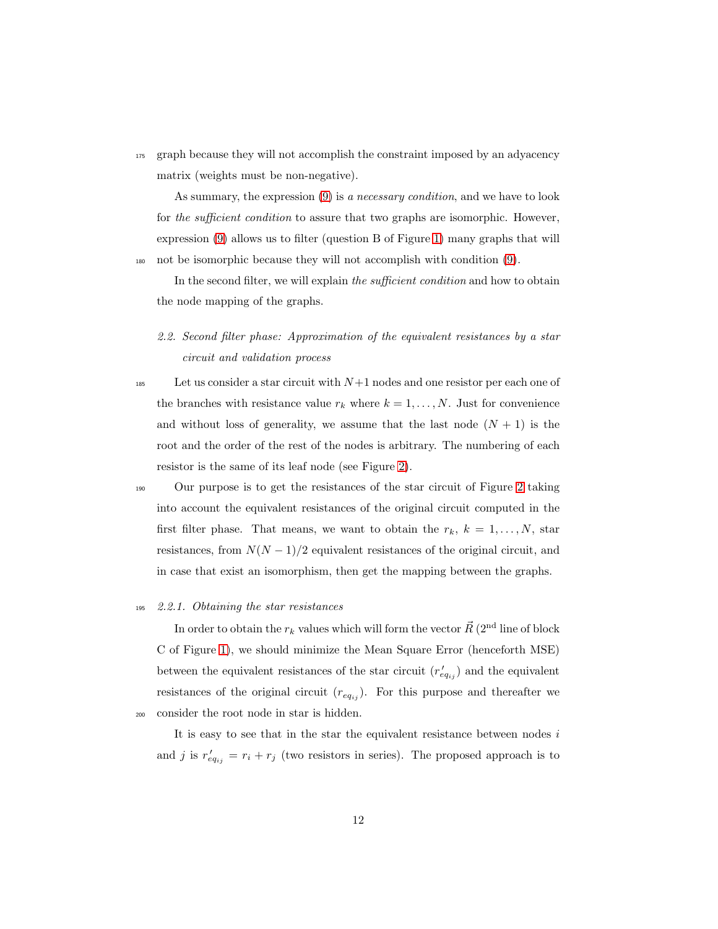<sup>175</sup> graph because they will not accomplish the constraint imposed by an adyacency matrix (weights must be non-negative).

As summary, the expression [\(9\)](#page-10-0) is a necessary condition, and we have to look for the sufficient condition to assure that two graphs are isomorphic. However, expression [\(9\)](#page-10-0) allows us to filter (question B of Figure [1\)](#page-6-0) many graphs that will <sup>180</sup> not be isomorphic because they will not accomplish with condition [\(9\)](#page-10-0).

In the second filter, we will explain the *sufficient condition* and how to obtain the node mapping of the graphs.

2.2. Second filter phase: Approximation of the equivalent resistances by a star circuit and validation process

185 Let us consider a star circuit with  $N+1$  nodes and one resistor per each one of the branches with resistance value  $r_k$  where  $k = 1, ..., N$ . Just for convenience and without loss of generality, we assume that the last node  $(N + 1)$  is the root and the order of the rest of the nodes is arbitrary. The numbering of each resistor is the same of its leaf node (see Figure [2\)](#page-12-0).

<sup>190</sup> Our purpose is to get the resistances of the star circuit of Figure [2](#page-12-0) taking into account the equivalent resistances of the original circuit computed in the first filter phase. That means, we want to obtain the  $r_k$ ,  $k = 1, \ldots, N$ , star resistances, from  $N(N-1)/2$  equivalent resistances of the original circuit, and in case that exist an isomorphism, then get the mapping between the graphs.

# <sup>195</sup> 2.2.1. Obtaining the star resistances

In order to obtain the  $r_k$  values which will form the vector  $\vec{R}$  (2<sup>nd</sup> line of block C of Figure [1\)](#page-6-0), we should minimize the Mean Square Error (henceforth MSE) between the equivalent resistances of the star circuit  $(r'_{eq_{ij}})$  and the equivalent resistances of the original circuit  $(r_{eq_{ij}})$ . For this purpose and thereafter we <sup>200</sup> consider the root node in star is hidden.

It is easy to see that in the star the equivalent resistance between nodes  $i$ and j is  $r'_{eq_{ij}} = r_i + r_j$  (two resistors in series). The proposed approach is to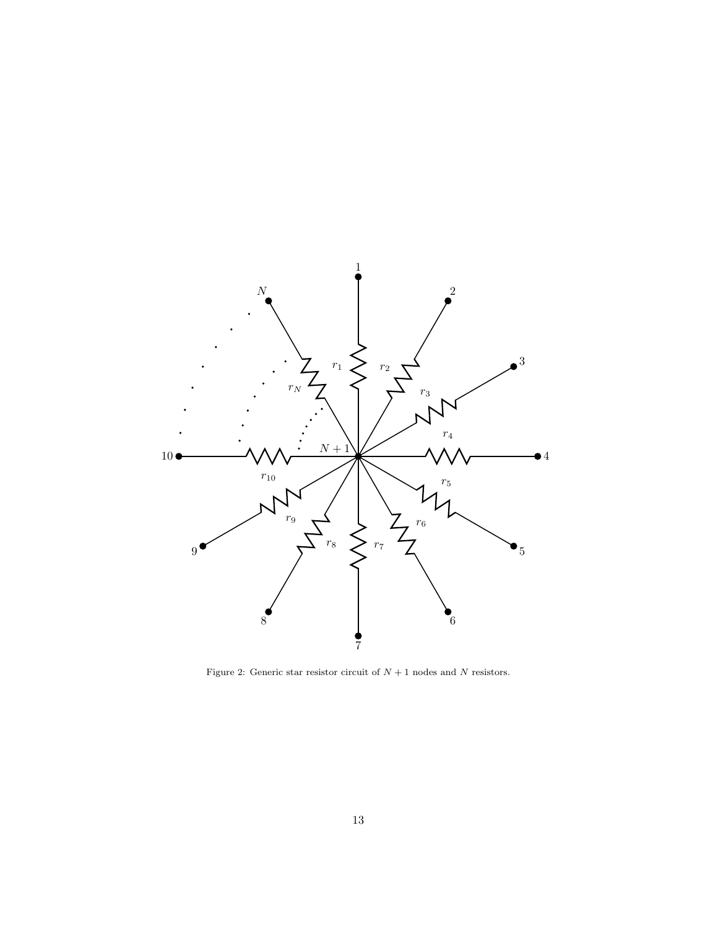<span id="page-12-0"></span>

Figure 2: Generic star resistor circuit of  $N+1$  nodes and  $N$  resistors.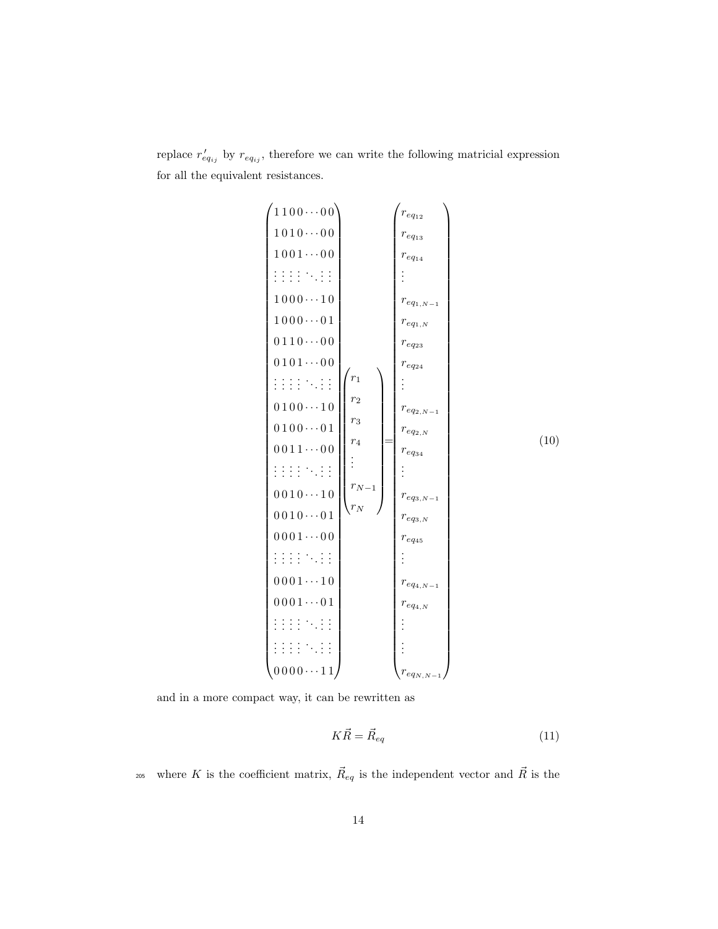<span id="page-13-0"></span>replace  $r'_{eq_{ij}}$  by  $r_{eq_{ij}}$ , therefore we can write the following matricial expression for all the equivalent resistances.



and in a more compact way, it can be rewritten as

$$
K\vec{R} = \vec{R}_{eq} \tag{11}
$$

<sup>205</sup> where K is the coefficient matrix,  $\vec{R}_{eq}$  is the independent vector and  $\vec{R}$  is the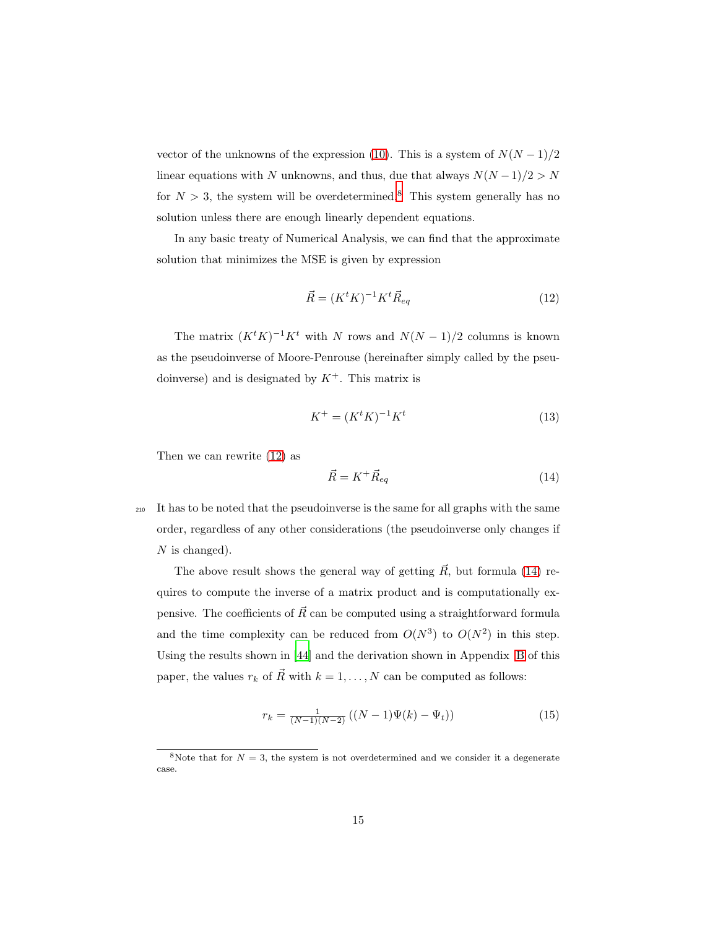vector of the unknowns of the expression [\(10\)](#page-13-0). This is a system of  $N(N-1)/2$ linear equations with N unknowns, and thus, due that always  $N(N-1)/2 > N$ for  $N > 3$ , the system will be overdetermined.<sup>8</sup> This system generally has no solution unless there are enough linearly dependent equations.

In any basic treaty of Numerical Analysis, we can find that the approximate solution that minimizes the MSE is given by expression

<span id="page-14-0"></span>
$$
\vec{R} = (K^t K)^{-1} K^t \vec{R}_{eq} \tag{12}
$$

The matrix  $(K^t K)^{-1} K^t$  with N rows and  $N(N-1)/2$  columns is known as the pseudoinverse of Moore-Penrouse (hereinafter simply called by the pseudoinverse) and is designated by  $K^+$ . This matrix is

<span id="page-14-3"></span><span id="page-14-1"></span>
$$
K^{+} = (K^{t}K)^{-1}K^{t}
$$
\n(13)

Then we can rewrite [\(12\)](#page-14-0) as

$$
\vec{R} = K^+ \vec{R}_{eq} \tag{14}
$$

<sup>210</sup> It has to be noted that the pseudoinverse is the same for all graphs with the same order, regardless of any other considerations (the pseudoinverse only changes if  $N$  is changed).

The above result shows the general way of getting  $\vec{R}$ , but formula [\(14\)](#page-14-1) requires to compute the inverse of a matrix product and is computationally expensive. The coefficients of  $\vec{R}$  can be computed using a straightforward formula and the time complexity can be reduced from  $O(N^3)$  to  $O(N^2)$  in this step. Using the results shown in [\[44](#page-46-5)] and the derivation shown in Appendix [B](#page-39-1) of this paper, the values  $r_k$  of  $\vec{R}$  with  $k = 1, ..., N$  can be computed as follows:

<span id="page-14-2"></span>
$$
r_k = \frac{1}{(N-1)(N-2)} ((N-1)\Psi(k) - \Psi_t))
$$
\n(15)

<sup>&</sup>lt;sup>8</sup>Note that for  $N = 3$ , the system is not overdetermined and we consider it a degenerate case.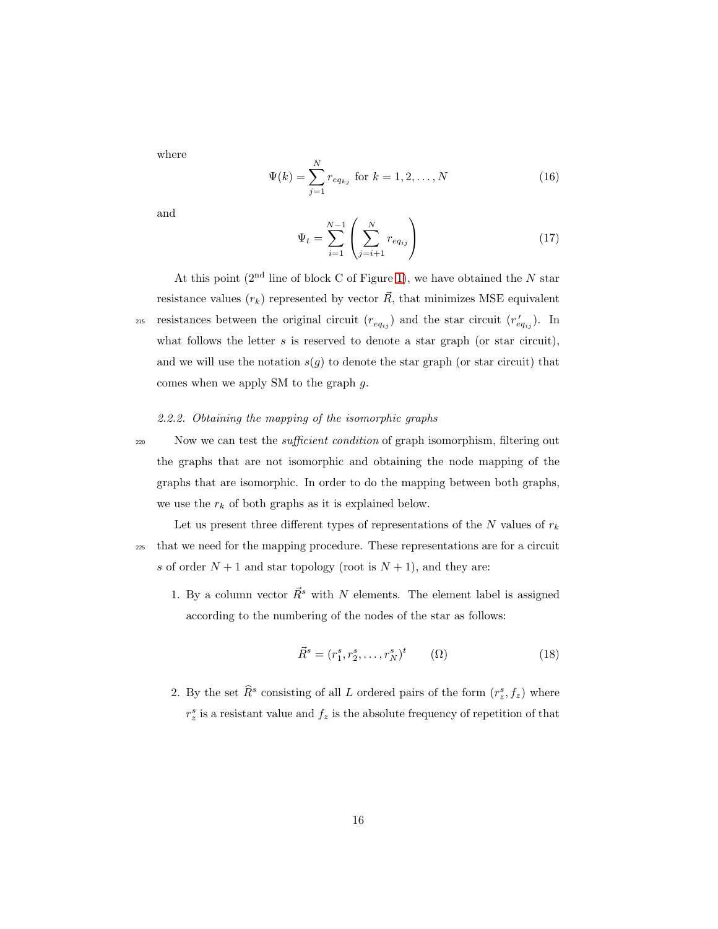where

$$
\Psi(k) = \sum_{j=1}^{N} r_{eq_{kj}} \text{ for } k = 1, 2, ..., N
$$
\n(16)

<span id="page-15-0"></span>and

$$
\Psi_t = \sum_{i=1}^{N-1} \left( \sum_{j=i+1}^{N} r_{eq_{ij}} \right)
$$
 (17)

At this point  $(2<sup>nd</sup>$  line of block C of Figure [1\)](#page-6-0), we have obtained the N star resistance values  $(r_k)$  represented by vector  $\vec{R}$ , that minimizes MSE equivalent the star circuit  $(r_{eq_{ij}})$  and the star circuit  $(r'_{eq_{ij}})$ . In what follows the letter  $s$  is reserved to denote a star graph (or star circuit), and we will use the notation  $s(g)$  to denote the star graph (or star circuit) that comes when we apply SM to the graph g.

# 2.2.2. Obtaining the mapping of the isomorphic graphs

<sup>220</sup> Now we can test the *sufficient condition* of graph isomorphism, filtering out the graphs that are not isomorphic and obtaining the node mapping of the graphs that are isomorphic. In order to do the mapping between both graphs, we use the  $r_k$  of both graphs as it is explained below.

Let us present three different types of representations of the  $N$  values of  $r_k$ <sup>225</sup> that we need for the mapping procedure. These representations are for a circuit s of order  $N + 1$  and star topology (root is  $N + 1$ ), and they are:

1. By a column vector  $\vec{R}^s$  with N elements. The element label is assigned according to the numbering of the nodes of the star as follows:

$$
\vec{R}^s = (r_1^s, r_2^s, \dots, r_N^s)^t \qquad (\Omega)
$$
\n(18)

2. By the set  $\hat{R}^s$  consisting of all L ordered pairs of the form  $(r_z^s, f_z)$  where  $r_z^s$  is a resistant value and  $f_z$  is the absolute frequency of repetition of that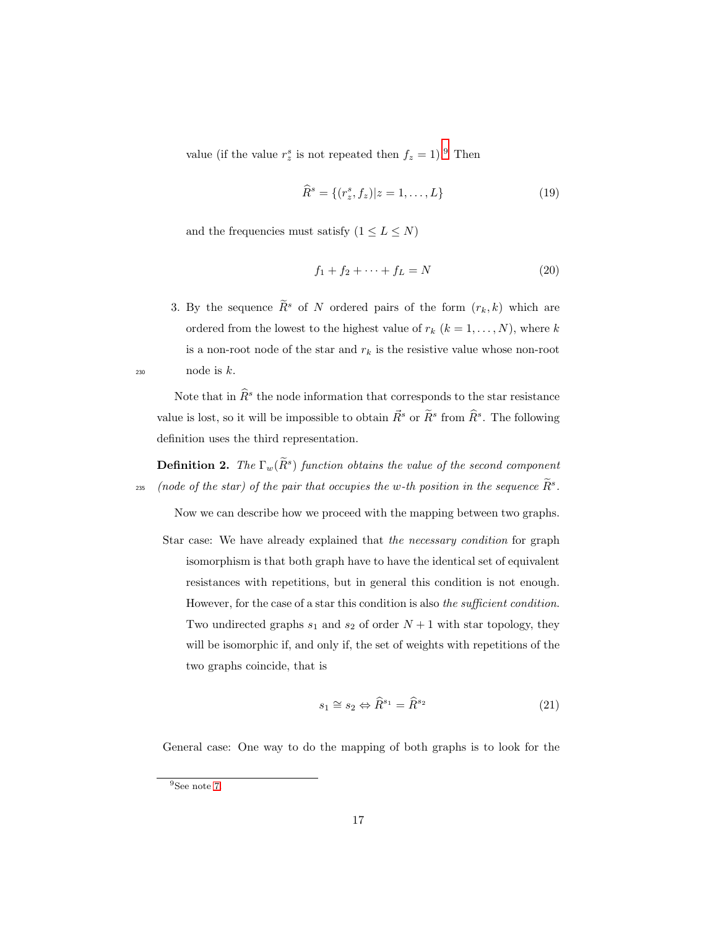value (if the value  $r_z^s$  is not repeated then  $f_z = 1$ ). Then

$$
\widehat{R}^s = \{(r_z^s, f_z) | z = 1, \dots, L\}
$$
\n(19)

and the frequencies must satisfy  $(1 \leq L \leq N)$ 

$$
f_1 + f_2 + \dots + f_L = N \tag{20}
$$

3. By the sequence  $\widetilde{R}^s$  of N ordered pairs of the form  $(r_k, k)$  which are ordered from the lowest to the highest value of  $r_k$   $(k = 1, ..., N)$ , where k is a non-root node of the star and  $r_k$  is the resistive value whose non-root  $_{230}$  node is k.

Note that in  $\widehat{R}^s$  the node information that corresponds to the star resistance value is lost, so it will be impossible to obtain  $\vec{R}^s$  or  $\widetilde{R}^s$  from  $\widehat{R}^s$ . The following definition uses the third representation.

**Definition 2.** The  $\Gamma_w(\tilde{R}^s)$  function obtains the value of the second component  $\alpha_{235}$  (node of the star) of the pair that occupies the w-th position in the sequence  $\tilde{R}^s$ .

Now we can describe how we proceed with the mapping between two graphs.

Star case: We have already explained that the necessary condition for graph isomorphism is that both graph have to have the identical set of equivalent resistances with repetitions, but in general this condition is not enough. However, for the case of a star this condition is also the sufficient condition. Two undirected graphs  $s_1$  and  $s_2$  of order  $N + 1$  with star topology, they will be isomorphic if, and only if, the set of weights with repetitions of the two graphs coincide, that is

$$
s_1 \cong s_2 \Leftrightarrow \widehat{R}^{s_1} = \widehat{R}^{s_2} \tag{21}
$$

General case: One way to do the mapping of both graphs is to look for the

 $^9{\rm{See}}$  note [7.](#page-9-0)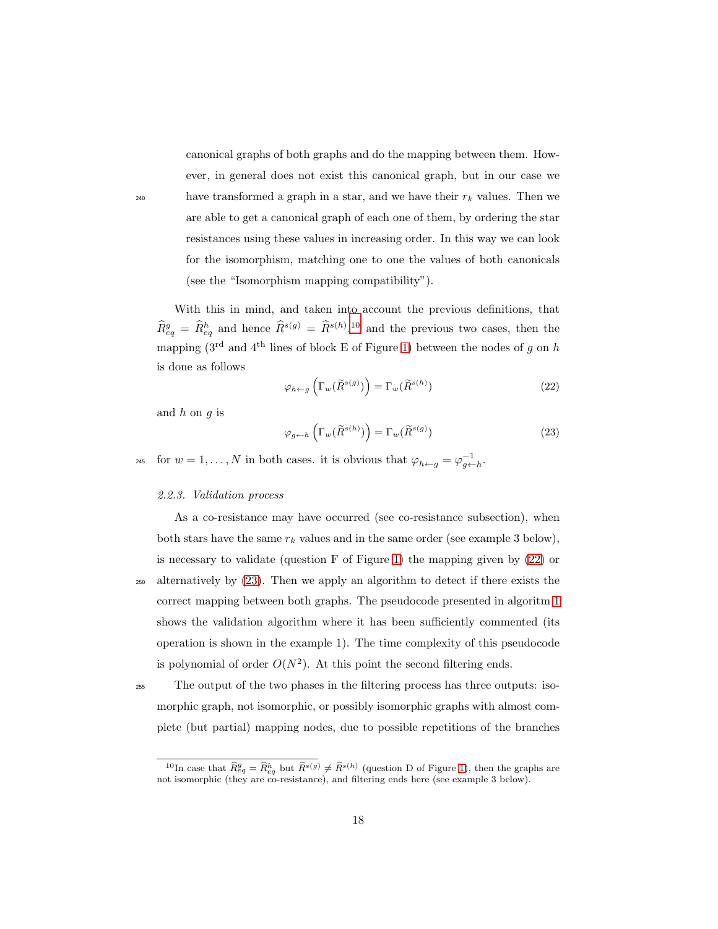canonical graphs of both graphs and do the mapping between them. However, in general does not exist this canonical graph, but in our case we have transformed a graph in a star, and we have their  $r_k$  values. Then we are able to get a canonical graph of each one of them, by ordering the star resistances using these values in increasing order. In this way we can look for the isomorphism, matching one to one the values of both canonicals (see the "Isomorphism mapping compatibility").

With this in mind, and taken into account the previous definitions, that  $\widehat{R}_{eq}^g = \widehat{R}_{eq}^h$  and hence  $\widehat{R}^{s(g)} = \widehat{R}^{s(h)},^{10}$  and the previous two cases, then the mapping ( $3^{\text{rd}}$  and  $4^{\text{th}}$  lines of block E of Figure [1\)](#page-6-0) between the nodes of g on h is done as follows

<span id="page-17-0"></span>
$$
\varphi_{h \leftarrow g} \left( \Gamma_w(\widetilde{R}^{s(g)}) \right) = \Gamma_w(\widetilde{R}^{s(h)}) \tag{22}
$$

and  $h$  on  $q$  is

<span id="page-17-1"></span>
$$
\varphi_{g \leftarrow h} \left( \Gamma_w(\widetilde{R}^{s(h)}) \right) = \Gamma_w(\widetilde{R}^{s(g)}) \tag{23}
$$

<sup>245</sup> for  $w = 1, ..., N$  in both cases. it is obvious that  $\varphi_{h \leftarrow g} = \varphi_{g \leftarrow h}^{-1}$ .

#### 2.2.3. Validation process

As a co-resistance may have occurred (see co-resistance subsection), when both stars have the same  $r_k$  values and in the same order (see example 3 below), is necessary to validate (question F of Figure [1\)](#page-6-0) the mapping given by [\(22\)](#page-17-0) or <sup>250</sup> alternatively by [\(23\)](#page-17-1). Then we apply an algorithm to detect if there exists the correct mapping between both graphs. The pseudocode presented in algoritm [1](#page-18-0) shows the validation algorithm where it has been sufficiently commented (its operation is shown in the example 1). The time complexity of this pseudocode is polynomial of order  $O(N^2)$ . At this point the second filtering ends.

<sup>255</sup> The output of the two phases in the filtering process has three outputs: isomorphic graph, not isomorphic, or possibly isomorphic graphs with almost complete (but partial) mapping nodes, due to possible repetitions of the branches

<sup>&</sup>lt;sup>10</sup>In case that  $\widehat{R}_{eq}^g = \widehat{R}_{eq}^h$  but  $\widehat{R}^{s(g)} \neq \widehat{R}^{s(h)}$  (question D of Figure [1\)](#page-6-0), then the graphs are not isomorphic (they are co-resistance), and filtering ends here (see example 3 below).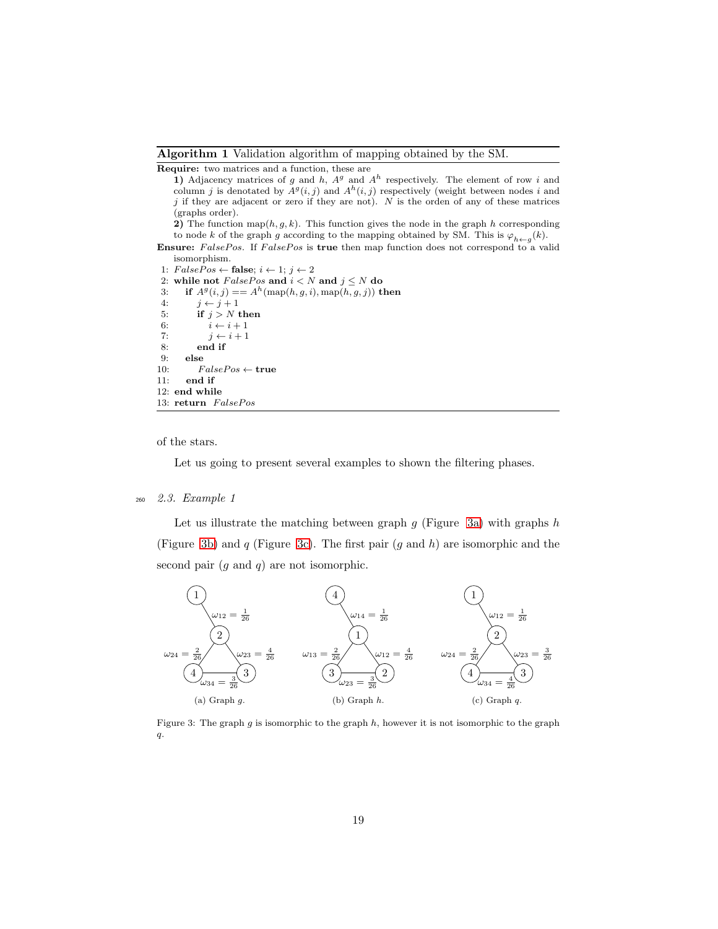<span id="page-18-0"></span>Algorithm 1 Validation algorithm of mapping obtained by the SM.

Require: two matrices and a function, these are

1) Adjacency matrices of g and h,  $A<sup>g</sup>$  and  $A<sup>h</sup>$  respectively. The element of row i and column j is denotated by  $A^g(i, j)$  and  $A^h(i, j)$  respectively (weight between nodes i and  $j$  if they are adjacent or zero if they are not).  $N$  is the orden of any of these matrices (graphs order).

2) The function map $(h, g, k)$ . This function gives the node in the graph h corresponding to node k of the graph g according to the mapping obtained by SM. This is  $\varphi_{h \leftarrow g}(k)$ .

Ensure: FalsePos. If FalsePos is true then map function does not correspond to a valid isomorphism.

1:  $FalsePos \leftarrow false; i \leftarrow 1; j \leftarrow 2$ 

2: while not  $FalsePos$  and  $i < N$  and  $j \leq N$  do<br>3: if  $A^g(i, j) = A^h(\text{map}(h, q, i), \text{map}(h, q, j))$  t 3: if  $A^g(i, j) = A^h(\text{map}(h, g, i), \text{map}(h, g, j))$  then

```
4: j \leftarrow j + 15: if j > N then<br>6: i \leftarrow i+1i \leftarrow i + 17: j \leftarrow i + 1<br>8: end if
             end if
 9: else
10: FalsePos \leftarrow true<br>11: end if
```
end if 12: end while 13: return FalsePos

of the stars.

Let us going to present several examples to shown the filtering phases.

#### <sup>260</sup> 2.3. Example 1

Let us illustrate the matching between graph  $g$  (Figure [3a\)](#page-18-1) with graphs  $h$ (Figure [3b\)](#page-18-2) and q (Figure [3c\)](#page-18-3). The first pair  $(q \text{ and } h)$  are isomorphic and the second pair  $(g \text{ and } q)$  are not isomorphic.



<span id="page-18-3"></span><span id="page-18-2"></span><span id="page-18-1"></span>Figure 3: The graph  $g$  is isomorphic to the graph  $h$ , however it is not isomorphic to the graph  $\boldsymbol{q}.$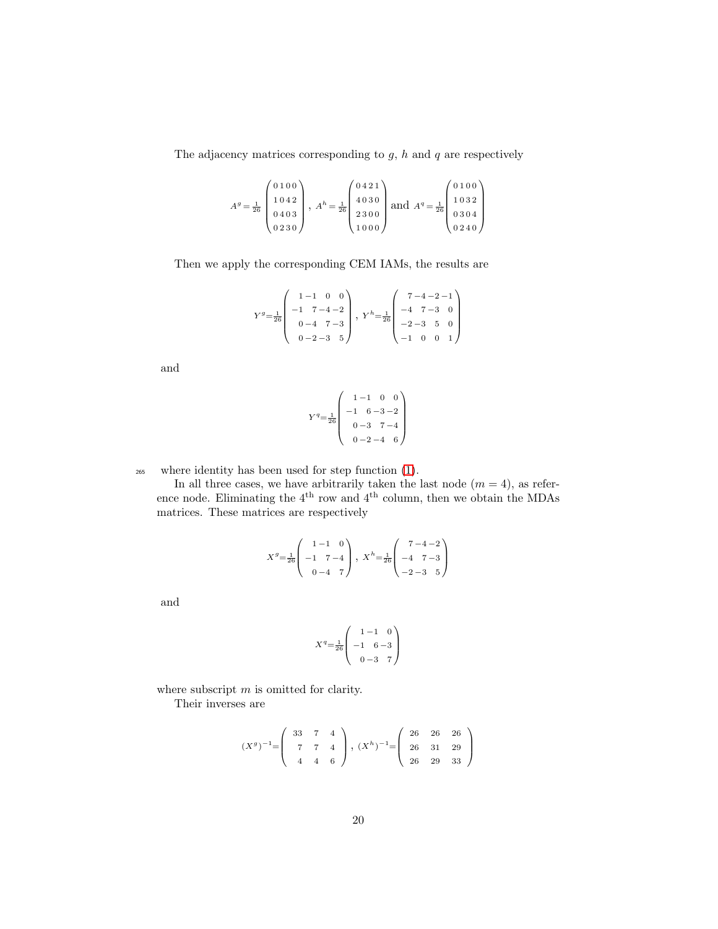The adjacency matrices corresponding to  $g$ ,  $h$  and  $q$  are respectively

$$
Ag = \frac{1}{26} \begin{pmatrix} 0 & 1 & 0 & 0 \\ 1 & 0 & 4 & 2 \\ 0 & 4 & 0 & 3 \\ 0 & 2 & 3 & 0 \end{pmatrix}, Ah = \frac{1}{26} \begin{pmatrix} 0 & 4 & 2 & 1 \\ 4 & 0 & 3 & 0 \\ 2 & 3 & 0 & 0 \\ 1 & 0 & 0 & 0 \end{pmatrix} \text{ and } Aq = \frac{1}{26} \begin{pmatrix} 0 & 1 & 0 & 0 \\ 1 & 0 & 3 & 2 \\ 0 & 3 & 0 & 4 \\ 0 & 2 & 4 & 0 \end{pmatrix}
$$

Then we apply the corresponding CEM IAMs, the results are

$$
Y^g\text{=}\frac{1}{26}\left(\begin{array}{rrrr}1-1&0&0\\-1&7-4-2\\0-4&7-3\\0-2-3&5\end{array}\right),\ Y^h\text{=}\frac{1}{26}\left(\begin{array}{rrrr}7-4-2-1\\-4&7-3&0\\-2-3&5&0\\-1&0&0&1\end{array}\right)
$$

and

$$
Y^{q} = \frac{1}{26} \begin{pmatrix} 1 - 1 & 0 & 0 \ -1 & 6 - 3 - 2 \ 0 - 3 & 7 - 4 \ 0 - 2 - 4 & 6 \end{pmatrix}
$$

<sup>265</sup> where identity has been used for step function [\(1\)](#page-5-0).

In all three cases, we have arbitrarily taken the last node  $(m = 4)$ , as reference node. Eliminating the 4<sup>th</sup> row and 4<sup>th</sup> column, then we obtain the MDAs matrices. These matrices are respectively

$$
X^g = \frac{1}{26} \begin{pmatrix} 1 & -1 & 0 \\ -1 & 7 & -4 \\ 0 & -4 & 7 \end{pmatrix}, X^h = \frac{1}{26} \begin{pmatrix} 7 & -4 & -2 \\ -4 & 7 & -3 \\ -2 & -3 & 5 \end{pmatrix}
$$

and

$$
X^{q} = \frac{1}{26} \begin{pmatrix} 1 - 1 & 0 \\ -1 & 6 - 3 \\ 0 - 3 & 7 \end{pmatrix}
$$

where subscript  $m$  is omitted for clarity.

Their inverses are

$$
(X^g)^{-1} = \begin{pmatrix} 33 & 7 & 4 \\ 7 & 7 & 4 \\ 4 & 4 & 6 \end{pmatrix}, (X^h)^{-1} = \begin{pmatrix} 26 & 26 & 26 \\ 26 & 31 & 29 \\ 26 & 29 & 33 \end{pmatrix}
$$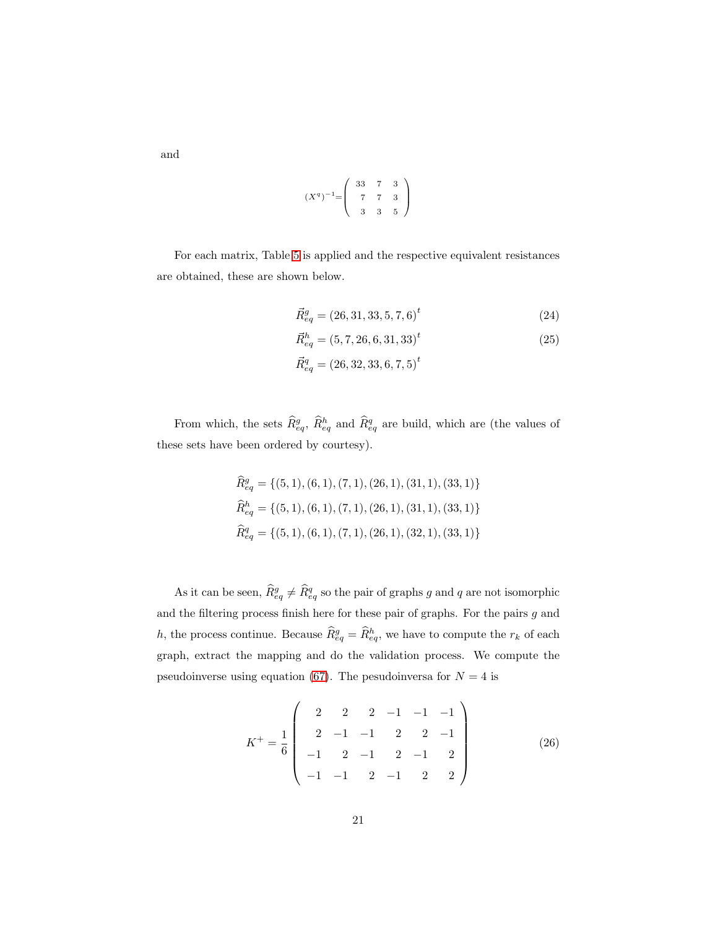$$
(Xq)-1=\left(\begin{array}{ccc} 33 & 7 & 3 \\ 7 & 7 & 3 \\ 3 & 3 & 5 \end{array}\right)
$$

For each matrix, Table [5](#page-39-0) is applied and the respective equivalent resistances are obtained, these are shown below.

<span id="page-20-1"></span>
$$
\vec{R}_{eq}^{g} = (26, 31, 33, 5, 7, 6)^{t}
$$
\n(24)

<span id="page-20-2"></span>
$$
\vec{R}_{eq}^{h} = (5, 7, 26, 6, 31, 33)^{t}
$$
\n(25)

$$
\vec{R}^q_{eq} = (26,32,33,6,7,5)^t
$$

From which, the sets  $\widehat{R}_{eq}^g$ ,  $\widehat{R}_{eq}^h$  and  $\widehat{R}_{eq}^q$  are build, which are (the values of these sets have been ordered by courtesy).

$$
\begin{aligned}\n\widehat{R}_{eq}^g &= \{ (5, 1), (6, 1), (7, 1), (26, 1), (31, 1), (33, 1) \} \\
\widehat{R}_{eq}^h &= \{ (5, 1), (6, 1), (7, 1), (26, 1), (31, 1), (33, 1) \} \\
\widehat{R}_{eq}^q &= \{ (5, 1), (6, 1), (7, 1), (26, 1), (32, 1), (33, 1) \} \n\end{aligned}
$$

As it can be seen,  $\hat{R}_{eq}^g \neq \hat{R}_{eq}^q$  so the pair of graphs g and q are not isomorphic and the filtering process finish here for these pair of graphs. For the pairs  $g$  and h, the process continue. Because  $\widehat{R}_{eq}^g = \widehat{R}_{eq}^h$ , we have to compute the  $r_k$  of each graph, extract the mapping and do the validation process. We compute the pseudoinverse using equation [\(67\)](#page-40-0). The pesudoinversa for  $N = 4$  is

<span id="page-20-0"></span>
$$
K^{+} = \frac{1}{6} \begin{pmatrix} 2 & 2 & 2 & -1 & -1 & -1 \\ 2 & -1 & -1 & 2 & 2 & -1 \\ -1 & 2 & -1 & 2 & -1 & 2 \\ -1 & -1 & 2 & -1 & 2 & 2 \end{pmatrix}
$$
(26)

and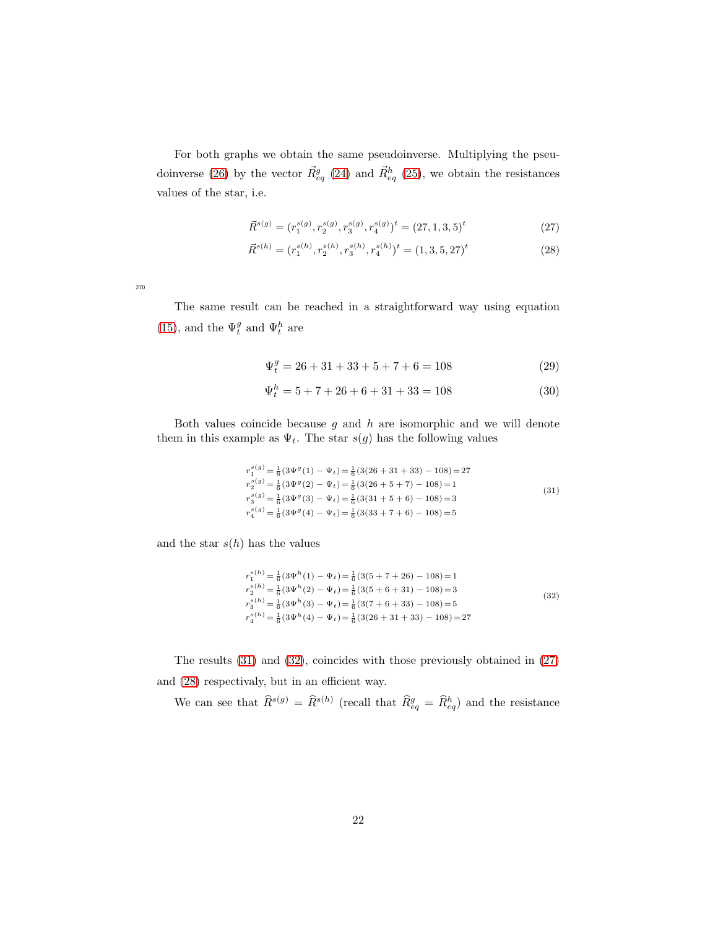For both graphs we obtain the same pseudoinverse. Multiplying the pseu-doinverse [\(26\)](#page-20-0) by the vector  $\vec{R}^g_{eq}$  [\(24\)](#page-20-1) and  $\vec{R}^h_{eq}$  [\(25\)](#page-20-2), we obtain the resistances values of the star, i.e.

<span id="page-21-3"></span><span id="page-21-2"></span>
$$
\vec{R}^{s(g)} = (r_1^{s(g)}, r_2^{s(g)}, r_3^{s(g)}, r_4^{s(g)})^t = (27, 1, 3, 5)^t
$$
\n(27)

$$
\vec{R}^{s(h)} = (r_1^{s(h)}, r_2^{s(h)}, r_3^{s(h)}, r_4^{s(h)})^t = (1, 3, 5, 27)^t
$$
\n(28)

270

The same result can be reached in a straightforward way using equation [\(15\)](#page-14-2), and the  $\Psi_t^g$  and  $\Psi_t^h$  are

$$
\Psi_t^g = 26 + 31 + 33 + 5 + 7 + 6 = 108\tag{29}
$$

<span id="page-21-0"></span>
$$
\Psi_t^h = 5 + 7 + 26 + 6 + 31 + 33 = 108\tag{30}
$$

Both values coincide because  $g$  and  $h$  are isomorphic and we will denote them in this example as  $\Psi_t$ . The star  $s(g)$  has the following values

$$
r_1^{s(g)} = \frac{1}{6} (3\Psi^g (1) - \Psi_t) = \frac{1}{6} (3(26 + 31 + 33) - 108) = 27
$$
  
\n
$$
r_2^{s(g)} = \frac{1}{6} (3\Psi^g (2) - \Psi_t) = \frac{1}{6} (3(26 + 5 + 7) - 108) = 1
$$
  
\n
$$
r_3^{s(g)} = \frac{1}{6} (3\Psi^g (3) - \Psi_t) = \frac{1}{6} (3(31 + 5 + 6) - 108) = 3
$$
  
\n
$$
r_4^{s(g)} = \frac{1}{6} (3\Psi^g (4) - \Psi_t) = \frac{1}{6} (3(33 + 7 + 6) - 108) = 5
$$
\n(31)

and the star  $s(h)$  has the values

<span id="page-21-1"></span>
$$
r_1^{s(h)} = \frac{1}{6}(3\Psi^h(1) - \Psi_t) = \frac{1}{6}(3(5+7+26) - 108) = 1
$$
  
\n
$$
r_2^{s(h)} = \frac{1}{6}(3\Psi^h(2) - \Psi_t) = \frac{1}{6}(3(5+6+31) - 108) = 3
$$
  
\n
$$
r_3^{s(h)} = \frac{1}{6}(3\Psi^h(3) - \Psi_t) = \frac{1}{6}(3(7+6+33) - 108) = 5
$$
  
\n
$$
r_4^{s(h)} = \frac{1}{6}(3\Psi^h(4) - \Psi_t) = \frac{1}{6}(3(26+31+33) - 108) = 27
$$
\n(32)

The results [\(31\)](#page-21-0) and [\(32\)](#page-21-1), coincides with those previously obtained in [\(27\)](#page-21-2) and [\(28\)](#page-21-3) respectivaly, but in an efficient way.

We can see that  $\hat{R}^{s(g)} = \hat{R}^{s(h)}$  (recall that  $\hat{R}_{eq}^g = \hat{R}_{eq}^h$ ) and the resistance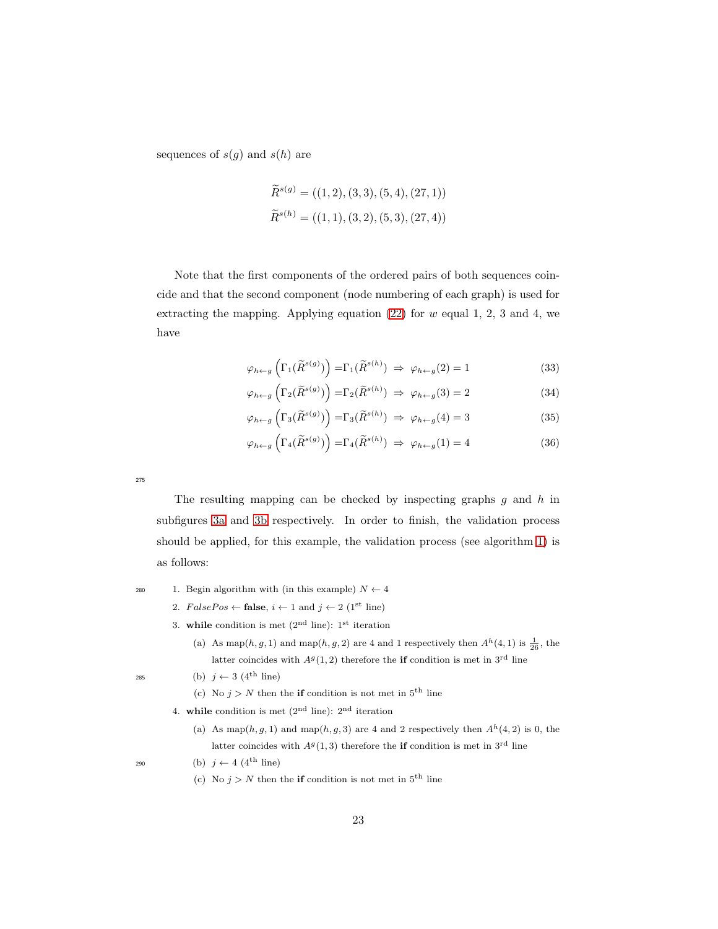sequences of  $s(g)$  and  $s(h)$  are

$$
\widetilde{R}^{s(g)} = ((1, 2), (3, 3), (5, 4), (27, 1))
$$
  

$$
\widetilde{R}^{s(h)} = ((1, 1), (3, 2), (5, 3), (27, 4))
$$

Note that the first components of the ordered pairs of both sequences coincide and that the second component (node numbering of each graph) is used for extracting the mapping. Applying equation  $(22)$  for w equal 1, 2, 3 and 4, we have

$$
\varphi_{h \leftarrow g} \left( \Gamma_1(\widetilde{R}^{s(g)}) \right) = \Gamma_1(\widetilde{R}^{s(h)}) \implies \varphi_{h \leftarrow g}(2) = 1 \tag{33}
$$

$$
\varphi_{h \leftarrow g} \left( \Gamma_2(\widetilde{R}^{s(g)}) \right) = \Gamma_2(\widetilde{R}^{s(h)}) \implies \varphi_{h \leftarrow g}(3) = 2 \tag{34}
$$

$$
\varphi_{h \leftarrow g} \left( \Gamma_3(\widetilde{R}^{s(g)}) \right) = \Gamma_3(\widetilde{R}^{s(h)}) \implies \varphi_{h \leftarrow g}(4) = 3 \tag{35}
$$

$$
\varphi_{h \leftarrow g} \left( \Gamma_4(\widetilde{R}^{s(g)}) \right) = \Gamma_4(\widetilde{R}^{s(h)}) \implies \varphi_{h \leftarrow g}(1) = 4 \tag{36}
$$

275

The resulting mapping can be checked by inspecting graphs  $g$  and  $h$  in subfigures [3a](#page-18-1) and [3b](#page-18-2) respectively. In order to finish, the validation process should be applied, for this example, the validation process (see algorithm [1\)](#page-18-0) is as follows:

280 1. Begin algorithm with (in this example)  $N \leftarrow 4$ 

2.  $FalsePos \leftarrow false, i \leftarrow 1 \text{ and } j \leftarrow 2 \ (1^{\text{st}} \text{ line})$ 

- 3. while condition is met  $(2<sup>nd</sup>$  line): 1<sup>st</sup> iteration
	- (a) As map(h, g, 1) and map(h, g, 2) are 4 and 1 respectively then  $A<sup>h</sup>(4, 1)$  is  $\frac{1}{26}$ , the latter coincides with  $A<sup>g</sup>(1,2)$  therefore the **if** condition is met in 3<sup>rd</sup> line
- 285 (b)  $j \leftarrow 3$  (4<sup>th</sup> line)
	- (c) No  $j > N$  then the **if** condition is not met in  $5<sup>th</sup>$  line
	- 4. while condition is met  $(2<sup>nd</sup>$  line):  $2<sup>nd</sup>$  iteration
		- (a) As map $(h, g, 1)$  and map $(h, g, 3)$  are 4 and 2 respectively then  $A<sup>h</sup>(4, 2)$  is 0, the latter coincides with  $A<sup>g</sup>(1,3)$  therefore the **if** condition is met in 3<sup>rd</sup> line

290 (b)  $j \leftarrow 4$  (4<sup>th</sup> line)

- 
- (c) No  $j > N$  then the **if** condition is not met in  $5<sup>th</sup>$  line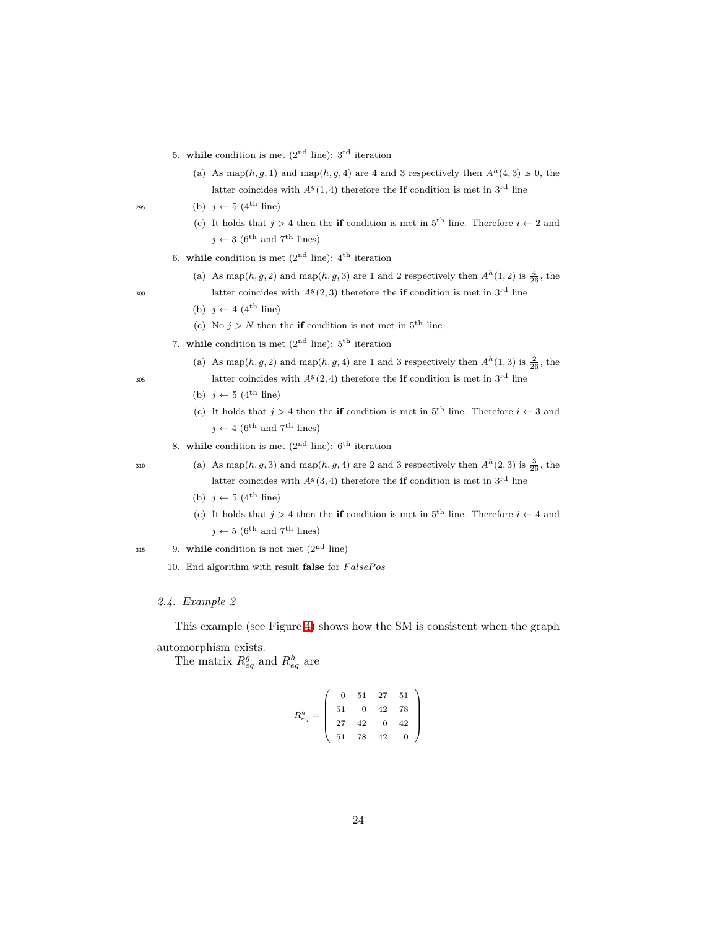5. while condition is met  $(2<sup>nd</sup> line)$ :  $3<sup>rd</sup>$  iteration

- (a) As map(h, g, 1) and map(h, g, 4) are 4 and 3 respectively then  $A<sup>h</sup>(4, 3)$  is 0, the latter coincides with  $A<sup>g</sup>(1,4)$  therefore the **if** condition is met in 3<sup>rd</sup> line
- 295 (b)  $j \leftarrow 5$  (4<sup>th</sup> line)
	- (c) It holds that  $j > 4$  then the if condition is met in 5<sup>th</sup> line. Therefore  $i \leftarrow 2$  and  $j \leftarrow 3$  (6<sup>th</sup> and 7<sup>th</sup> lines)
	- 6. while condition is met  $(2<sup>nd</sup>$  line):  $4<sup>th</sup>$  iteration
- (a) As map(h, g, 2) and map(h, g, 3) are 1 and 2 respectively then  $A<sup>h</sup>(1, 2)$  is  $\frac{4}{26}$ , the <sup>300</sup> latter coincides with  $A<sup>g</sup>(2,3)$  therefore the if condition is met in 3<sup>rd</sup> line

- (b)  $j \leftarrow 4$  (4<sup>th</sup> line)
- (c) No  $j > N$  then the **if** condition is not met in  $5<sup>th</sup>$  line
- 7. while condition is met  $(2<sup>nd</sup>$  line):  $5<sup>th</sup>$  iteration
- (a) As map(h, g, 2) and map(h, g, 4) are 1 and 3 respectively then  $A<sup>h</sup>(1,3)$  is  $\frac{2}{26}$ , the <sup>305</sup> latter coincides with  $A<sup>g</sup>(2, 4)$  therefore the **if** condition is met in 3<sup>rd</sup> line
	- (b)  $j \leftarrow 5$  (4<sup>th</sup> line)
	- (c) It holds that  $j > 4$  then the if condition is met in  $5<sup>th</sup>$  line. Therefore  $i \leftarrow 3$  and  $j \leftarrow 4$  (6<sup>th</sup> and 7<sup>th</sup> lines)
	- 8. while condition is met  $(2<sup>nd</sup>$  line):  $6<sup>th</sup>$  iteration

- 310 (a) As map(h, g, 3) and map(h, g, 4) are 2 and 3 respectively then  $A<sup>h</sup>(2,3)$  is  $\frac{3}{26}$ , the latter coincides with  $A<sup>g</sup>(3, 4)$  therefore the **if** condition is met in 3<sup>rd</sup> line
	- (b)  $j \leftarrow 5$  (4<sup>th</sup> line)
	- (c) It holds that  $j > 4$  then the if condition is met in  $5<sup>th</sup>$  line. Therefore  $i \leftarrow 4$  and  $j \leftarrow 5$  (6<sup>th</sup> and 7<sup>th</sup> lines)
- 315 9. while condition is not met  $(2<sup>nd</sup>$  line)
	- 10. End algorithm with result false for  $FalsePos$

# 2.4. Example 2

This example (see Figure [4\)](#page-24-0) shows how the SM is consistent when the graph automorphism exists.

The matrix  $R_{eq}^g$  and  $R_{eq}^h$  are

$$
R_{eq}^g=\left(\begin{array}{cccc} 0 & 51 & 27 & 51\\ 51 & 0 & 42 & 78\\ 27 & 42 & 0 & 42\\ 51 & 78 & 42 & 0 \end{array}\right)
$$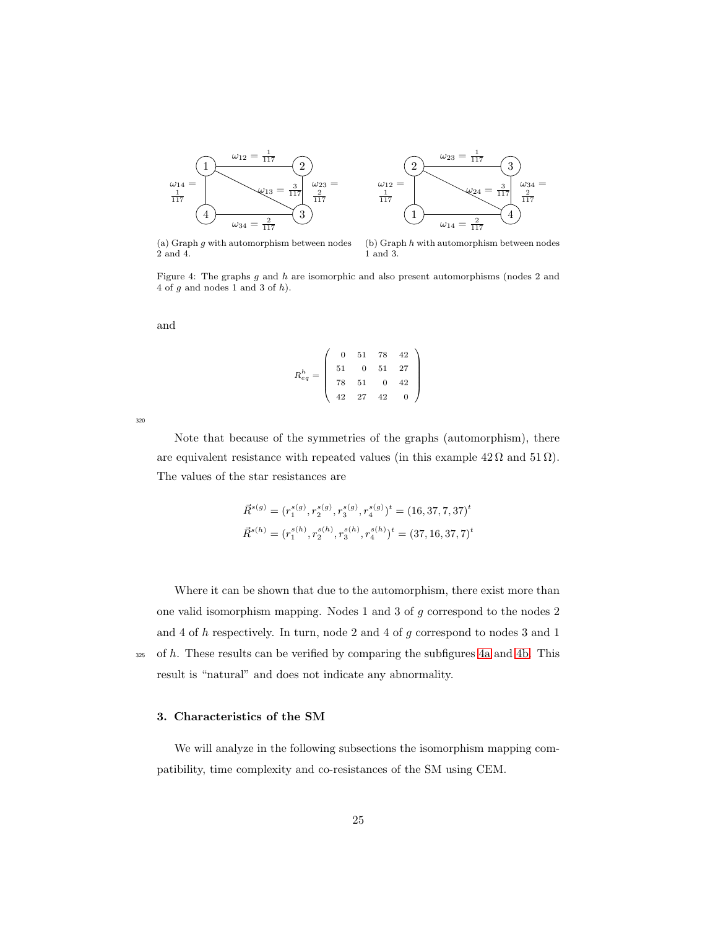<span id="page-24-0"></span>



<span id="page-24-1"></span>(a) Graph  $g$  with automorphism between nodes 2 and 4.

<span id="page-24-2"></span>(b) Graph  $h$  with automorphism between nodes 1 and 3.

Figure 4: The graphs g and h are isomorphic and also present automorphisms (nodes 2 and 4 of  $q$  and nodes 1 and 3 of  $h$ ).

and

$$
R_{eq}^{h} = \left(\begin{array}{cccc} 0 & 51 & 78 & 42 \\ 51 & 0 & 51 & 27 \\ 78 & 51 & 0 & 42 \\ 42 & 27 & 42 & 0 \end{array}\right)
$$

320

Note that because of the symmetries of the graphs (automorphism), there are equivalent resistance with repeated values (in this example  $42 \Omega$  and  $51 \Omega$ ). The values of the star resistances are

$$
\vec{R}^{s(g)} = (r_1^{s(g)}, r_2^{s(g)}, r_3^{s(g)}, r_4^{s(g)})^t = (16, 37, 7, 37)^t
$$
  

$$
\vec{R}^{s(h)} = (r_1^{s(h)}, r_2^{s(h)}, r_3^{s(h)}, r_4^{s(h)})^t = (37, 16, 37, 7)^t
$$

Where it can be shown that due to the automorphism, there exist more than one valid isomorphism mapping. Nodes 1 and 3 of g correspond to the nodes 2 and 4 of h respectively. In turn, node 2 and 4 of g correspond to nodes 3 and 1  $325$  of h. These results can be verified by comparing the subfigures [4a](#page-24-1) and [4b.](#page-24-2) This result is "natural" and does not indicate any abnormality.

# 3. Characteristics of the SM

We will analyze in the following subsections the isomorphism mapping compatibility, time complexity and co-resistances of the SM using CEM.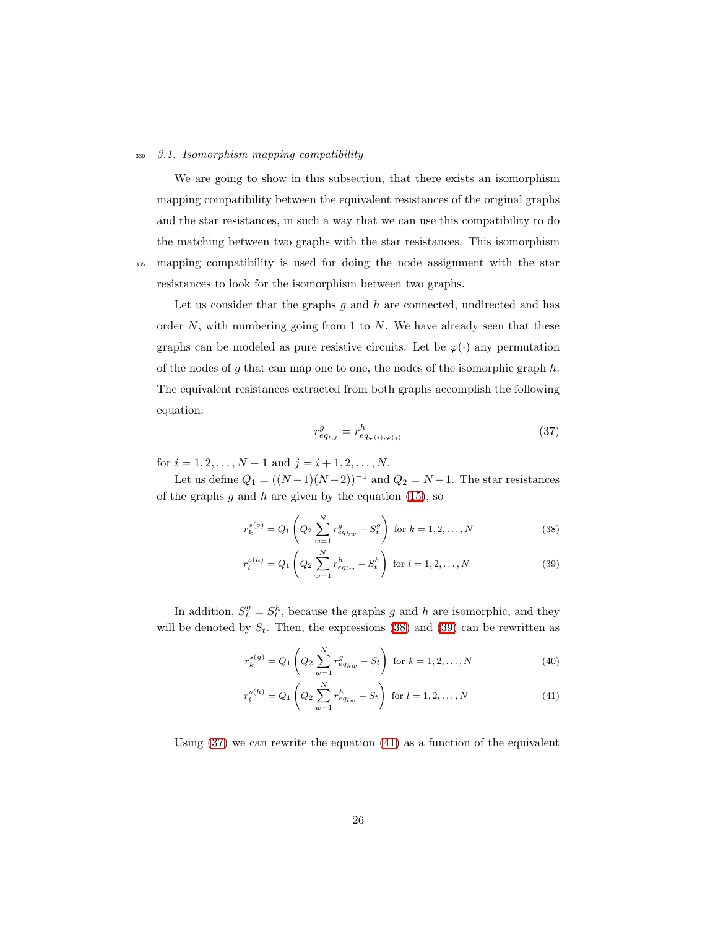#### <sup>330</sup> 3.1. Isomorphism mapping compatibility

We are going to show in this subsection, that there exists an isomorphism mapping compatibility between the equivalent resistances of the original graphs and the star resistances, in such a way that we can use this compatibility to do the matching between two graphs with the star resistances. This isomorphism <sup>335</sup> mapping compatibility is used for doing the node assignment with the star resistances to look for the isomorphism between two graphs.

Let us consider that the graphs  $g$  and  $h$  are connected, undirected and has order  $N$ , with numbering going from 1 to  $N$ . We have already seen that these graphs can be modeled as pure resistive circuits. Let be  $\varphi(\cdot)$  any permutation of the nodes of g that can map one to one, the nodes of the isomorphic graph  $h$ . The equivalent resistances extracted from both graphs accomplish the following equation:

<span id="page-25-1"></span><span id="page-25-0"></span>
$$
r_{eq_{i,j}}^g = r_{eq_{\varphi(i),\varphi(j)}}^h \tag{37}
$$

<span id="page-25-2"></span>for  $i = 1, 2, \ldots, N - 1$  and  $j = i + 1, 2, \ldots, N$ .

Let us define  $Q_1 = ((N-1)(N-2))^{-1}$  and  $Q_2 = N-1$ . The star resistances of the graphs  $g$  and  $h$  are given by the equation [\(15\)](#page-14-2), so

$$
r_k^{s(g)} = Q_1 \left( Q_2 \sum_{w=1}^N r_{eq_{kw}}^g - S_t^g \right) \text{ for } k = 1, 2, ..., N
$$
 (38)

$$
r_l^{s(h)} = Q_1 \left( Q_2 \sum_{w=1}^N r_{eq_{lw}}^h - S_t^h \right) \text{ for } l = 1, 2, ..., N
$$
 (39)

In addition,  $S_t^g = S_t^h$ , because the graphs g and h are isomorphic, and they will be denoted by  $S_t$ . Then, the expressions [\(38\)](#page-25-0) and [\(39\)](#page-25-1) can be rewritten as

<span id="page-25-4"></span>
$$
r_k^{s(g)} = Q_1 \left( Q_2 \sum_{w=1}^N r_{eq_{kw}}^g - S_t \right) \text{ for } k = 1, 2, ..., N
$$
 (40)

<span id="page-25-3"></span>
$$
r_l^{s(h)} = Q_1 \left( Q_2 \sum_{w=1}^N r_{eq_{lw}}^h - S_t \right) \text{ for } l = 1, 2, ..., N
$$
 (41)

Using  $(37)$  we can rewrite the equation  $(41)$  as a function of the equivalent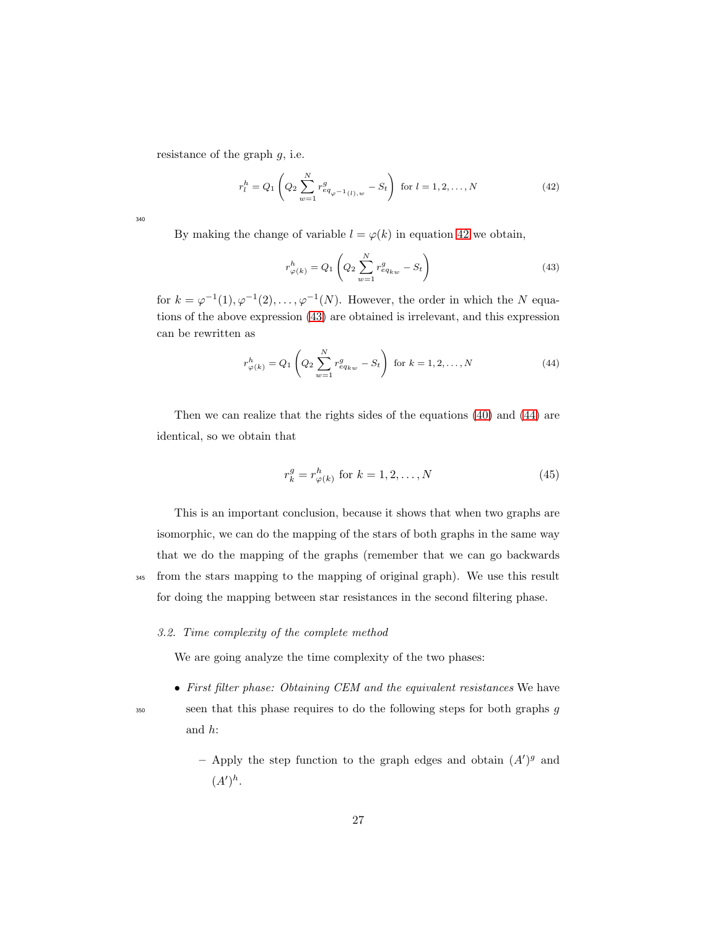resistance of the graph  $g$ , i.e.

<span id="page-26-0"></span>
$$
r_l^h = Q_1 \left( Q_2 \sum_{w=1}^N r_{eq_{\varphi^{-1}(l),w}}^g - S_t \right) \text{ for } l = 1, 2, ..., N
$$
 (42)

340

By making the change of variable  $l = \varphi(k)$  in equation [42](#page-26-0) we obtain,

<span id="page-26-1"></span>
$$
r_{\varphi(k)}^h = Q_1 \left( Q_2 \sum_{w=1}^N r_{eq_{kw}}^g - S_t \right)
$$
 (43)

for  $k = \varphi^{-1}(1), \varphi^{-1}(2), \ldots, \varphi^{-1}(N)$ . However, the order in which the N equations of the above expression [\(43\)](#page-26-1) are obtained is irrelevant, and this expression can be rewritten as

<span id="page-26-2"></span>
$$
r_{\varphi(k)}^h = Q_1 \left( Q_2 \sum_{w=1}^N r_{eq_{kw}}^g - S_t \right) \text{ for } k = 1, 2, ..., N
$$
 (44)

Then we can realize that the rights sides of the equations [\(40\)](#page-25-4) and [\(44\)](#page-26-2) are identical, so we obtain that

$$
r_k^g = r_{\varphi(k)}^h \text{ for } k = 1, 2, \dots, N \tag{45}
$$

This is an important conclusion, because it shows that when two graphs are isomorphic, we can do the mapping of the stars of both graphs in the same way that we do the mapping of the graphs (remember that we can go backwards <sup>345</sup> from the stars mapping to the mapping of original graph). We use this result for doing the mapping between star resistances in the second filtering phase.

# 3.2. Time complexity of the complete method

We are going analyze the time complexity of the two phases:

- First filter phase: Obtaining CEM and the equivalent resistances We have <sup>350</sup> seen that this phase requires to do the following steps for both graphs g
	-

and h:

- Apply the step function to the graph edges and obtain  $(A')^g$  and  $(A')^h.$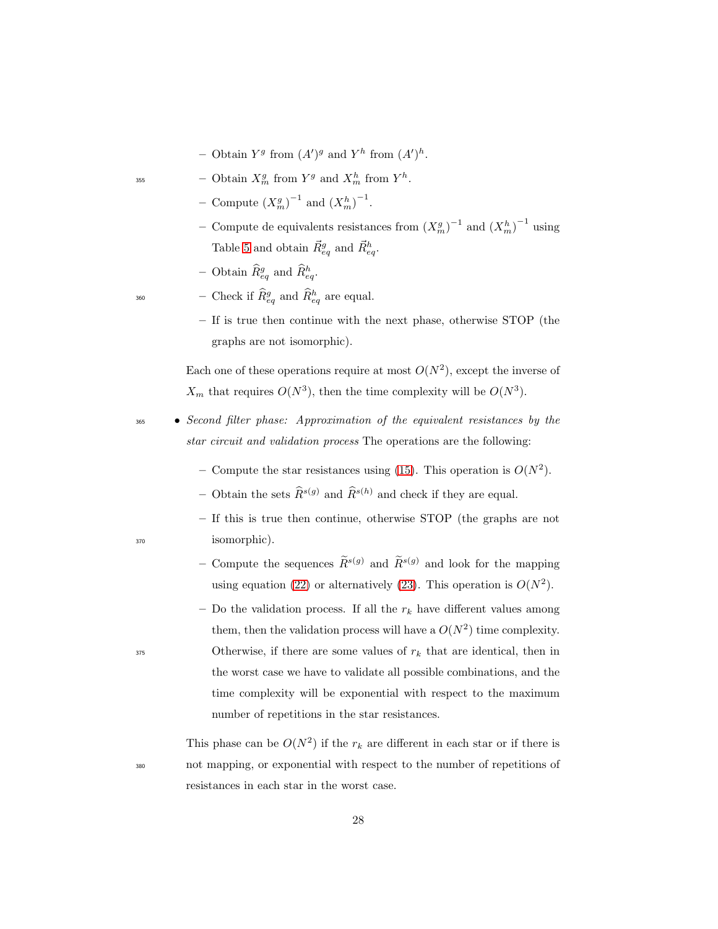- Obtain  $Y^g$  from  $(A')^g$  and  $Y^h$  from  $(A')^h$ .
- <sup>355</sup> Obtain  $X_m^g$  from  $Y^g$  and  $X_m^h$  from  $Y^h$ .
	- Compute  $(X_m^g)^{-1}$  and  $(X_m^h)^{-1}$ .
	- − Compute de equivalents resistances from  $(X_m^g)^{-1}$  and  $(X_m^h)^{-1}$  using Table [5](#page-39-0) and obtain  $\vec{R}_{eq}^g$  and  $\vec{R}_{eq}^h$ .
	- Obtain  $\widehat{R}_{eq}^g$  and  $\widehat{R}_{eq}^h$ .

 $\begin{equation} \begin{array}{ll} - \text{Check if } \widehat{R}_{eq}^{g} \text{ and } \widehat{R}_{eq}^{h} \text{ are equal.} \end{array} \end{equation}$ 

– If is true then continue with the next phase, otherwise STOP (the graphs are not isomorphic).

Each one of these operations require at most  $O(N^2)$ , except the inverse of  $X_m$  that requires  $O(N^3)$ , then the time complexity will be  $O(N^3)$ .

- <sup>365</sup> Second filter phase: Approximation of the equivalent resistances by the star circuit and validation process The operations are the following:
	- Compute the star resistances using [\(15\)](#page-14-2). This operation is  $O(N^2)$ .
	- Obtain the sets  $\widehat{R}^{s(g)}$  and  $\widehat{R}^{s(h)}$  and check if they are equal.
- If this is true then continue, otherwise STOP (the graphs are not <sup>370</sup> isomorphic).
	- Compute the sequences  $\widetilde{R}^{s(g)}$  and  $\widetilde{R}^{s(g)}$  and look for the mapping using equation [\(22\)](#page-17-0) or alternatively [\(23\)](#page-17-1). This operation is  $O(N^2)$ .
- Do the validation process. If all the  $r_k$  have different values among them, then the validation process will have a  $O(N^2)$  time complexity. 375 Otherwise, if there are some values of  $r_k$  that are identical, then in the worst case we have to validate all possible combinations, and the time complexity will be exponential with respect to the maximum number of repetitions in the star resistances.

This phase can be  $O(N^2)$  if the  $r_k$  are different in each star or if there is <sup>380</sup> not mapping, or exponential with respect to the number of repetitions of resistances in each star in the worst case.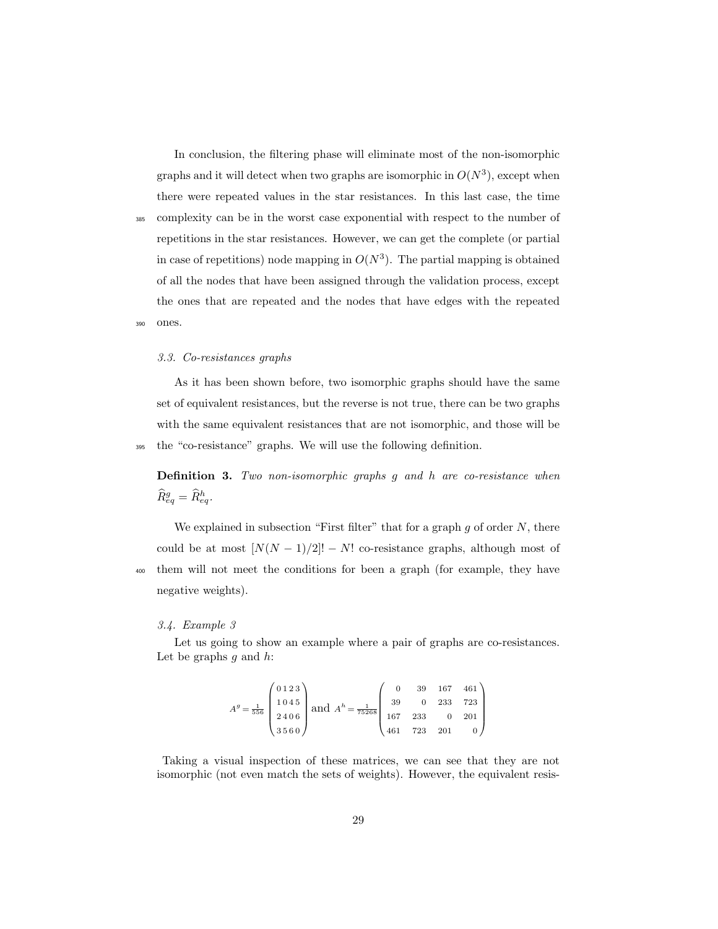In conclusion, the filtering phase will eliminate most of the non-isomorphic graphs and it will detect when two graphs are isomorphic in  $O(N^3)$ , except when there were repeated values in the star resistances. In this last case, the time <sup>385</sup> complexity can be in the worst case exponential with respect to the number of repetitions in the star resistances. However, we can get the complete (or partial in case of repetitions) node mapping in  $O(N^3)$ . The partial mapping is obtained of all the nodes that have been assigned through the validation process, except the ones that are repeated and the nodes that have edges with the repeated <sup>390</sup> ones.

#### 3.3. Co-resistances graphs

As it has been shown before, two isomorphic graphs should have the same set of equivalent resistances, but the reverse is not true, there can be two graphs with the same equivalent resistances that are not isomorphic, and those will be <sup>395</sup> the "co-resistance" graphs. We will use the following definition.

Definition 3. Two non-isomorphic graphs g and h are co-resistance when  $\widehat{R}_{eq}^g=\widehat{R}_{eq}^h.$ 

We explained in subsection "First filter" that for a graph  $g$  of order  $N$ , there could be at most  $[N(N-1)/2]! - N!$  co-resistance graphs, although most of <sup>400</sup> them will not meet the conditions for been a graph (for example, they have negative weights).

#### 3.4. Example 3

Let us going to show an example where a pair of graphs are co-resistances. Let be graphs  $g$  and  $h$ :

$$
Ag = \frac{1}{556} \begin{pmatrix} 0.123 \\ 1.045 \\ 2.406 \\ 3.560 \end{pmatrix} \text{ and } Ah = \frac{1}{75268} \begin{pmatrix} 0 & 39 & 167 & 461 \\ 39 & 0 & 233 & 723 \\ 167 & 233 & 0 & 201 \\ 461 & 723 & 201 & 0 \end{pmatrix}
$$

Taking a visual inspection of these matrices, we can see that they are not isomorphic (not even match the sets of weights). However, the equivalent resis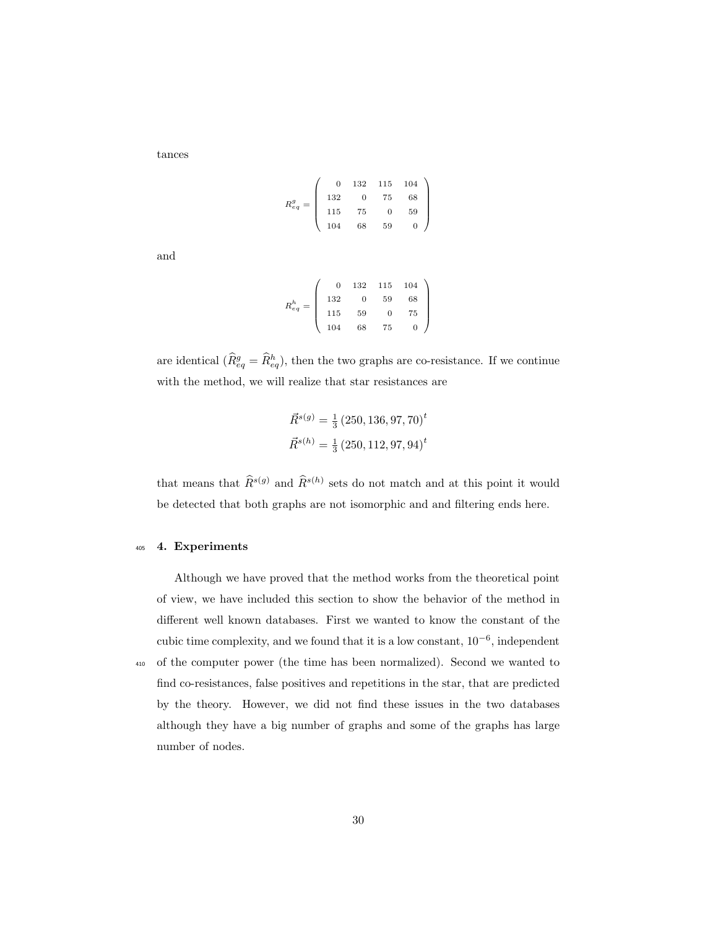tances

$$
R_{eq}^g = \left(\begin{array}{cccc} 0 & 132 & 115 & 104 \\ 132 & 0 & 75 & 68 \\ 115 & 75 & 0 & 59 \\ 104 & 68 & 59 & 0 \end{array}\right)
$$

and

$$
R_{eq}^{h} = \left(\begin{array}{cccc} 0 & 132 & 115 & 104 \\ 132 & 0 & 59 & 68 \\ 115 & 59 & 0 & 75 \\ 104 & 68 & 75 & 0 \end{array}\right)
$$

are identical  $(\hat{R}_{eq}^g = \hat{R}_{eq}^h)$ , then the two graphs are co-resistance. If we continue with the method, we will realize that star resistances are

$$
\vec{R}^{s(g)} = \frac{1}{3} (250, 136, 97, 70)^t
$$

$$
\vec{R}^{s(h)} = \frac{1}{3} (250, 112, 97, 94)^t
$$

that means that  $\hat{R}^{s(g)}$  and  $\hat{R}^{s(h)}$  sets do not match and at this point it would be detected that both graphs are not isomorphic and and filtering ends here.

### <sup>405</sup> 4. Experiments

number of nodes.

Although we have proved that the method works from the theoretical point of view, we have included this section to show the behavior of the method in different well known databases. First we wanted to know the constant of the cubic time complexity, and we found that it is a low constant, 10<sup>−</sup><sup>6</sup> , independent <sup>410</sup> of the computer power (the time has been normalized). Second we wanted to find co-resistances, false positives and repetitions in the star, that are predicted by the theory. However, we did not find these issues in the two databases although they have a big number of graphs and some of the graphs has large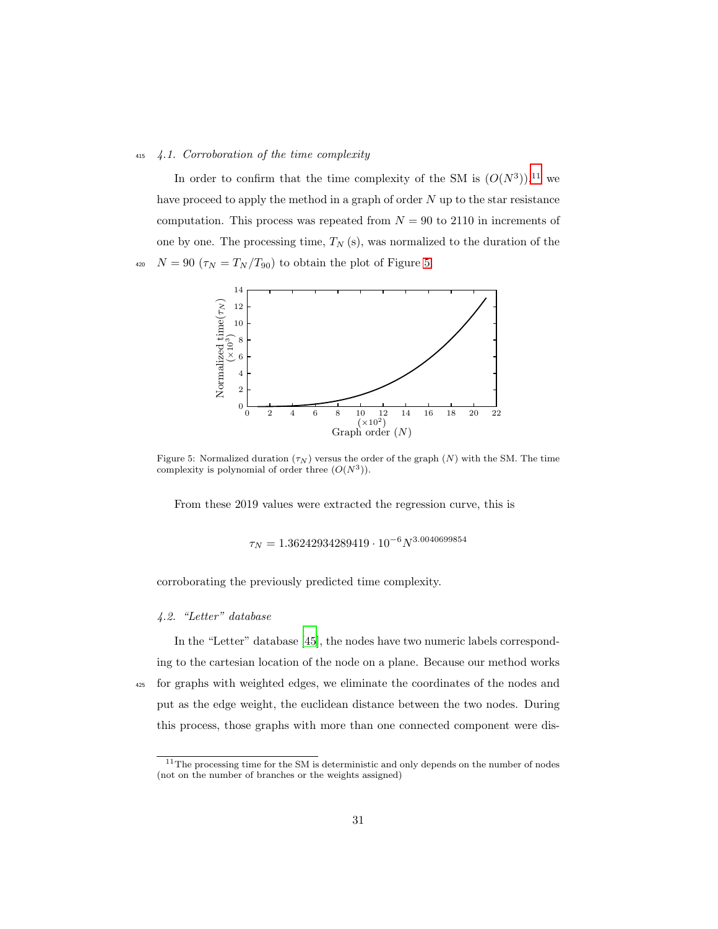#### <sup>415</sup> 4.1. Corroboration of the time complexity

In order to confirm that the time complexity of the SM is  $(O(N^3))$ ,<sup>11</sup> we have proceed to apply the method in a graph of order  $N$  up to the star resistance computation. This process was repeated from  $N = 90$  to 2110 in increments of one by one. The processing time,  $T_N(s)$ , was normalized to the duration of the 420  $N = 90 \left( \tau_N = T_N / T_{90} \right)$  to obtain the plot of Figure [5.](#page-30-0)

<span id="page-30-0"></span>

Figure 5: Normalized duration  $(\tau_N)$  versus the order of the graph  $(N)$  with the SM. The time complexity is polynomial of order three  $(O(N^3))$ .

From these 2019 values were extracted the regression curve, this is

 $\tau_N = 1.36242934289419 \cdot 10^{-6} N^{3.0040699854}$ 

corroborating the previously predicted time complexity.

# 4.2. "Letter" database

In the "Letter" database [\[45\]](#page-46-6), the nodes have two numeric labels corresponding to the cartesian location of the node on a plane. Because our method works <sup>425</sup> for graphs with weighted edges, we eliminate the coordinates of the nodes and put as the edge weight, the euclidean distance between the two nodes. During this process, those graphs with more than one connected component were dis-

<sup>&</sup>lt;sup>11</sup>The processing time for the SM is deterministic and only depends on the number of nodes (not on the number of branches or the weights assigned)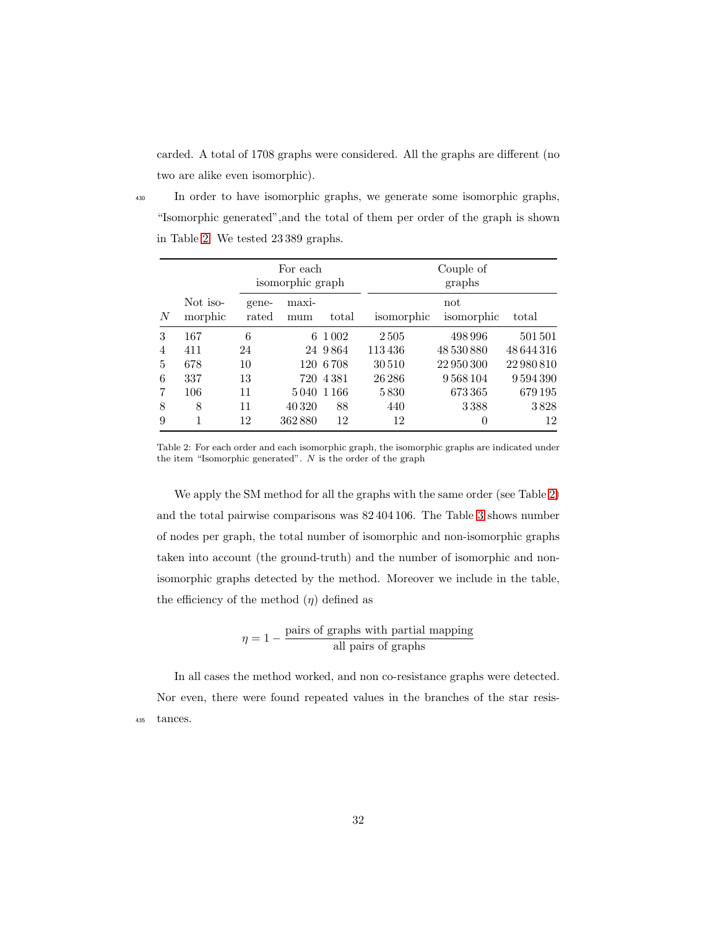carded. A total of 1708 graphs were considered. All the graphs are different (no two are alike even isomorphic).

<sup>430</sup> In order to have isomorphic graphs, we generate some isomorphic graphs, "Isomorphic generated",and the total of them per order of the graph is shown in Table [2.](#page-31-0) We tested 23 389 graphs.

<span id="page-31-0"></span>

|                |                     |                | For each<br>isomorphic graph |           | Couple of<br>graphs |                   |            |
|----------------|---------------------|----------------|------------------------------|-----------|---------------------|-------------------|------------|
| N              | Not iso-<br>morphic | gene-<br>rated | maxi-<br>mum                 | total     | isomorphic          | not<br>isomorphic | total      |
| 3              | 167                 | 6              | 6                            | 1 0 0 2   | 2505                | 498 996           | 501501     |
| $\overline{4}$ | 411                 | 24             |                              | 24 9864   | 113436              | 48 530 880        | 48644316   |
| 5              | 678                 | 10             |                              | 120 6 708 | 30510               | 22 950 300        | 22 980 810 |
| 6              | 337                 | 13             |                              | 720 4381  | 26 28 6             | 9568104           | 9594390    |
| 7              | 106                 | 11             | 5040                         | -1166     | 5830                | 673 365           | 679195     |
| 8              | 8                   | 11             | 40 3 20                      | 88        | 440                 | 3388              | 3828       |
| 9              |                     | 12             | 362880                       | 12        | 12                  | $\theta$          | 12         |

Table 2: For each order and each isomorphic graph, the isomorphic graphs are indicated under the item "Isomorphic generated". N is the order of the graph

We apply the SM method for all the graphs with the same order (see Table [2\)](#page-31-0) and the total pairwise comparisons was 82 404 106. The Table [3](#page-32-0) shows number of nodes per graph, the total number of isomorphic and non-isomorphic graphs taken into account (the ground-truth) and the number of isomorphic and nonisomorphic graphs detected by the method. Moreover we include in the table, the efficiency of the method  $(\eta)$  defined as

$$
\eta = 1 - \frac{\text{pairs of graphs with partial mapping}}{\text{all pairs of graphs}}
$$

In all cases the method worked, and non co-resistance graphs were detected. Nor even, there were found repeated values in the branches of the star resis-<sup>435</sup> tances.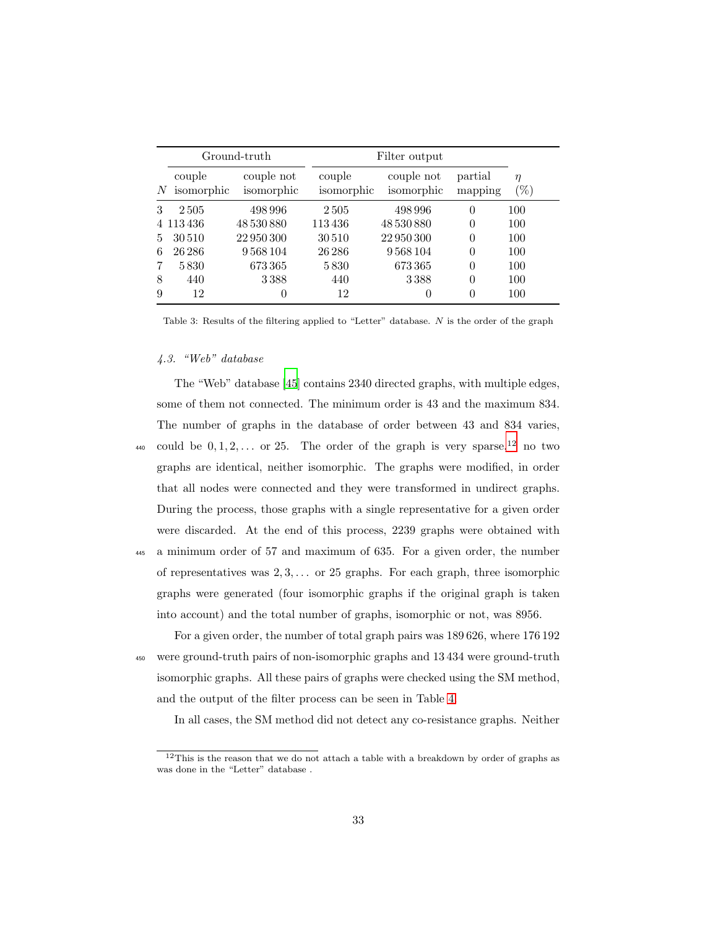<span id="page-32-0"></span>

|    |                      | Ground-truth             | Filter output        |                          |                    |                  |
|----|----------------------|--------------------------|----------------------|--------------------------|--------------------|------------------|
| N  | couple<br>isomorphic | couple not<br>isomorphic | couple<br>isomorphic | couple not<br>isomorphic | partial<br>mapping | $\eta$<br>$(\%)$ |
| 3  | 2505                 | 498 996                  | 2505                 | 498 996                  | 0                  | 100              |
|    | 4 113 436            | 48 530 880               | 113436               | 48 530 880               | 0                  | 100              |
| 5. | 30510                | 22 950 300               | 30510                | 22 950 300               | 0                  | 100              |
| 6  | 26 28 6              | 9568104                  | 26 28 6              | 9568104                  | $\Omega$           | 100              |
|    | 5830                 | 673365                   | 5830                 | 673365                   | 0                  | 100              |
| 8  | 440                  | 3388                     | 440                  | 3388                     | $\theta$           | 100              |
| 9  | 12                   | $\cup$                   | 12                   | 0                        | 0                  | 100              |

Table 3: Results of the filtering applied to "Letter" database. N is the order of the graph

#### 4.3. "Web" database

The "Web" database [\[45\]](#page-46-6) contains 2340 directed graphs, with multiple edges, some of them not connected. The minimum order is 43 and the maximum 834. The number of graphs in the database of order between 43 and 834 varies, <sup>440</sup> could be  $0, 1, 2, \ldots$  or 25. The order of the graph is very sparse, <sup>12</sup> no two graphs are identical, neither isomorphic. The graphs were modified, in order that all nodes were connected and they were transformed in undirect graphs. During the process, those graphs with a single representative for a given order were discarded. At the end of this process, 2239 graphs were obtained with <sup>445</sup> a minimum order of 57 and maximum of 635. For a given order, the number of representatives was  $2, 3, \ldots$  or 25 graphs. For each graph, three isomorphic graphs were generated (four isomorphic graphs if the original graph is taken into account) and the total number of graphs, isomorphic or not, was 8956.

For a given order, the number of total graph pairs was 189 626, where 176 192 <sup>450</sup> were ground-truth pairs of non-isomorphic graphs and 13 434 were ground-truth isomorphic graphs. All these pairs of graphs were checked using the SM method, and the output of the filter process can be seen in Table [4.](#page-33-0)

In all cases, the SM method did not detect any co-resistance graphs. Neither

 $12$ This is the reason that we do not attach a table with a breakdown by order of graphs as was done in the "Letter" database .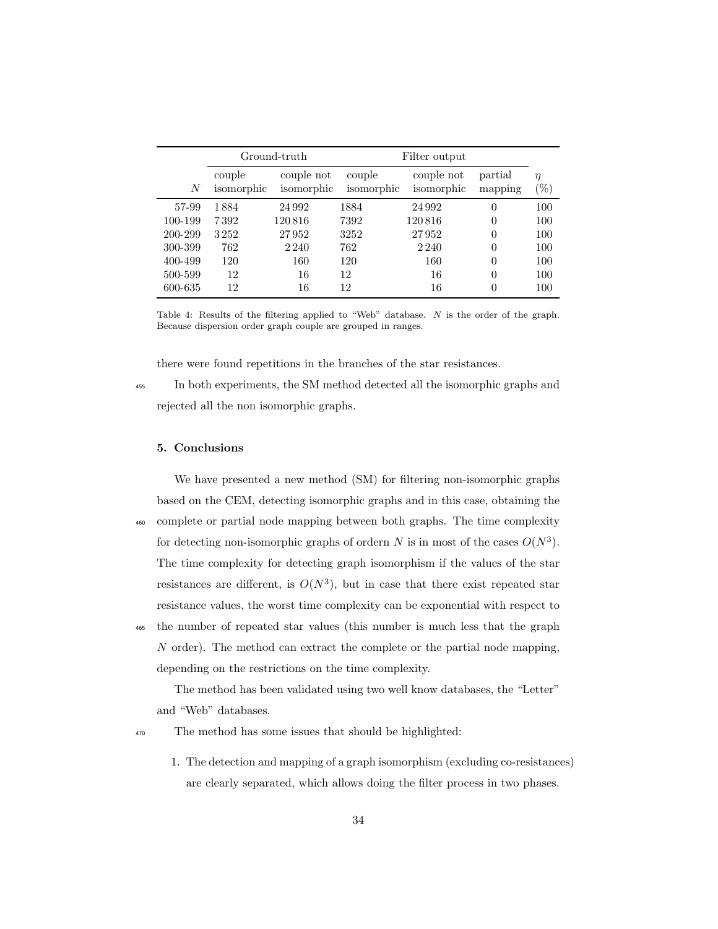<span id="page-33-0"></span>

|         | Ground-truth         |                          | Filter output        |                          |                    |          |
|---------|----------------------|--------------------------|----------------------|--------------------------|--------------------|----------|
| N       | couple<br>isomorphic | couple not<br>isomorphic | couple<br>isomorphic | couple not<br>isomorphic | partial<br>mapping | η<br>(%) |
| 57-99   | 1884                 | 24 9 9 2                 | 1884                 | 24 9 9 2                 | $\Omega$           | 100      |
| 100-199 | 7392                 | 120816                   | 7392                 | 120816                   | $\Omega$           | 100      |
| 200-299 | 3252                 | 27952                    | 3252                 | 27952                    | $\Omega$           | 100      |
| 300-399 | 762                  | 2 2 4 0                  | 762                  | 2 2 4 0                  | $\Omega$           | 100      |
| 400-499 | 120                  | 160                      | 120                  | 160                      | $\Omega$           | 100      |
| 500-599 | 12                   | 16                       | 12                   | 16                       | $\Omega$           | 100      |
| 600-635 | 12                   | 16                       | 12                   | 16                       | $\Omega$           | 100      |

Table 4: Results of the filtering applied to "Web" database. N is the order of the graph. Because dispersion order graph couple are grouped in ranges.

there were found repetitions in the branches of the star resistances.

<sup>455</sup> In both experiments, the SM method detected all the isomorphic graphs and rejected all the non isomorphic graphs.

# 5. Conclusions

We have presented a new method (SM) for filtering non-isomorphic graphs based on the CEM, detecting isomorphic graphs and in this case, obtaining the <sup>460</sup> complete or partial node mapping between both graphs. The time complexity for detecting non-isomorphic graphs of ordern N is in most of the cases  $O(N^3)$ . The time complexity for detecting graph isomorphism if the values of the star resistances are different, is  $O(N^3)$ , but in case that there exist repeated star resistance values, the worst time complexity can be exponential with respect to <sup>465</sup> the number of repeated star values (this number is much less that the graph

N order). The method can extract the complete or the partial node mapping, depending on the restrictions on the time complexity.

The method has been validated using two well know databases, the "Letter" and "Web" databases.

<sup>470</sup> The method has some issues that should be highlighted:

1. The detection and mapping of a graph isomorphism (excluding co-resistances) are clearly separated, which allows doing the filter process in two phases.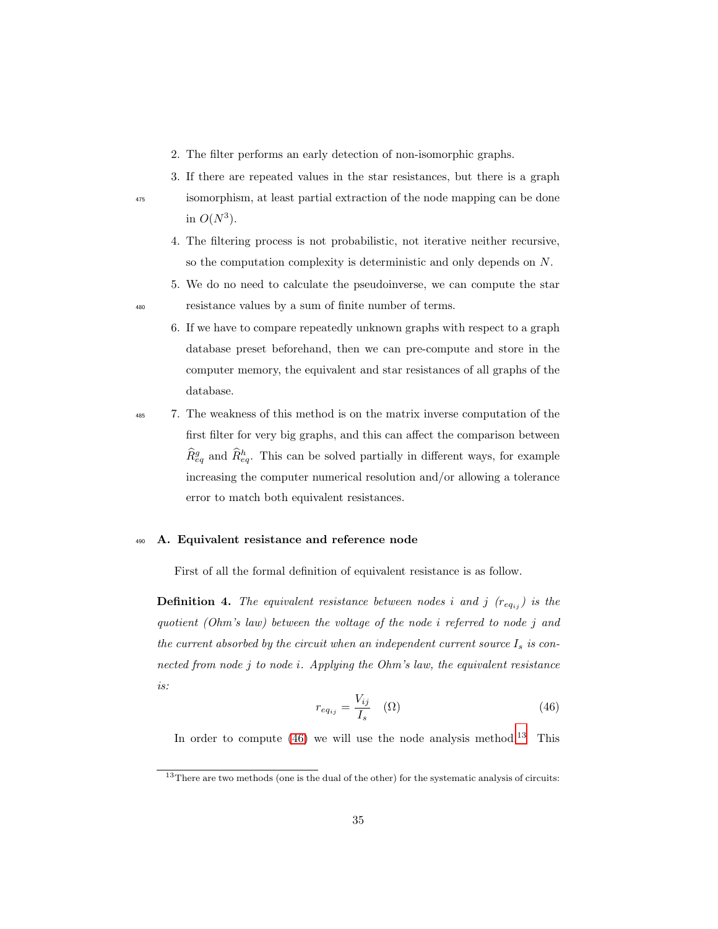- 2. The filter performs an early detection of non-isomorphic graphs.
- 3. If there are repeated values in the star resistances, but there is a graph <sup>475</sup> isomorphism, at least partial extraction of the node mapping can be done in  $O(N^3)$ .
	- 4. The filtering process is not probabilistic, not iterative neither recursive, so the computation complexity is deterministic and only depends on N.
- 5. We do no need to calculate the pseudoinverse, we can compute the star <sup>480</sup> resistance values by a sum of finite number of terms.
	- 6. If we have to compare repeatedly unknown graphs with respect to a graph database preset beforehand, then we can pre-compute and store in the computer memory, the equivalent and star resistances of all graphs of the database.
- <sup>485</sup> 7. The weakness of this method is on the matrix inverse computation of the first filter for very big graphs, and this can affect the comparison between  $\widehat{R}_{eq}^g$  and  $\widehat{R}_{eq}^h$ . This can be solved partially in different ways, for example increasing the computer numerical resolution and/or allowing a tolerance error to match both equivalent resistances.

# <span id="page-34-0"></span><sup>490</sup> A. Equivalent resistance and reference node

First of all the formal definition of equivalent resistance is as follow.

**Definition 4.** The equivalent resistance between nodes i and j  $(r_{eq_{ij}})$  is the quotient (Ohm's law) between the voltage of the node i referred to node j and the current absorbed by the circuit when an independent current source  $I_s$  is connected from node j to node i. Applying the Ohm's law, the equivalent resistance is:

$$
r_{eq_{ij}} = \frac{V_{ij}}{I_s} \quad (\Omega) \tag{46}
$$

<span id="page-34-1"></span>In order to compute  $(46)$  we will use the node analysis method.<sup>13</sup> This

 $13$ There are two methods (one is the dual of the other) for the systematic analysis of circuits: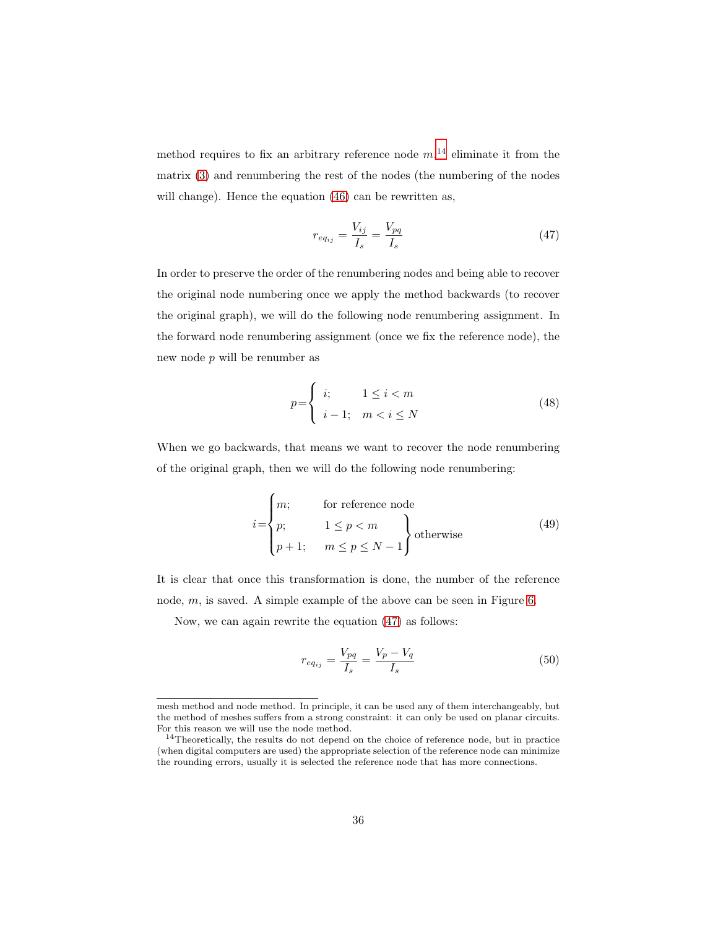method requires to fix an arbitrary reference node  $m<sub>1</sub>$ <sup>14</sup> eliminate it from the matrix [\(3\)](#page-8-1) and renumbering the rest of the nodes (the numbering of the nodes will change). Hence the equation  $(46)$  can be rewritten as,

<span id="page-35-0"></span>
$$
r_{eq_{ij}} = \frac{V_{ij}}{I_s} = \frac{V_{pq}}{I_s} \tag{47}
$$

In order to preserve the order of the renumbering nodes and being able to recover the original node numbering once we apply the method backwards (to recover the original graph), we will do the following node renumbering assignment. In the forward node renumbering assignment (once we fix the reference node), the new node p will be renumber as

<span id="page-35-3"></span><span id="page-35-2"></span>
$$
p = \begin{cases} i; & 1 \le i < m \\ i - 1; & m < i \le N \end{cases} \tag{48}
$$

When we go backwards, that means we want to recover the node renumbering of the original graph, then we will do the following node renumbering:

$$
i = \begin{cases} m; & \text{for reference node} \\ p; & 1 \le p < m \\ p+1; & m \le p \le N-1 \end{cases} \text{otherwise} \tag{49}
$$

It is clear that once this transformation is done, the number of the reference node,  $m$ , is saved. A simple example of the above can be seen in Figure [6.](#page-36-0)

Now, we can again rewrite the equation [\(47\)](#page-35-0) as follows:

<span id="page-35-1"></span>
$$
r_{eq_{ij}} = \frac{V_{pq}}{I_s} = \frac{V_p - V_q}{I_s} \tag{50}
$$

mesh method and node method. In principle, it can be used any of them interchangeably, but the method of meshes suffers from a strong constraint: it can only be used on planar circuits. For this reason we will use the node method.

<sup>&</sup>lt;sup>14</sup>Theoretically, the results do not depend on the choice of reference node, but in practice (when digital computers are used) the appropriate selection of the reference node can minimize the rounding errors, usually it is selected the reference node that has more connections.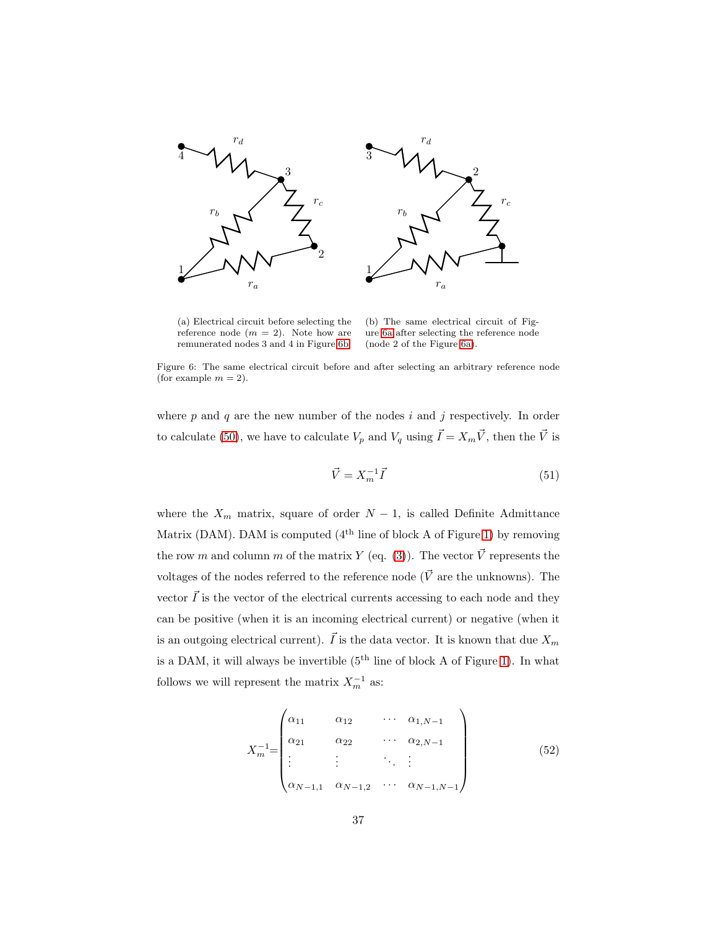<span id="page-36-0"></span>

<span id="page-36-2"></span>(a) Electrical circuit before selecting the reference node  $(m = 2)$ . Note how are remunerated nodes 3 and 4 in Figure [6b.](#page-36-1)

<span id="page-36-3"></span><span id="page-36-1"></span>(b) The same electrical circuit of Figure [6a](#page-36-2) after selecting the reference node (node 2 of the Figure [6a\)](#page-36-2).

Figure 6: The same electrical circuit before and after selecting an arbitrary reference node (for example  $m = 2$ ).

where  $p$  and  $q$  are the new number of the nodes  $i$  and  $j$  respectively. In order to calculate [\(50\)](#page-35-1), we have to calculate  $V_p$  and  $V_q$  using  $\vec{I} = X_m \vec{V}$ , then the  $\vec{V}$  is

$$
\vec{V} = X_m^{-1} \vec{I} \tag{51}
$$

where the  $X_m$  matrix, square of order  $N-1$ , is called Definite Admittance Matrix (DAM). DAM is computed  $(4<sup>th</sup>$  line of block A of Figure [1\)](#page-6-0) by removing the row m and column m of the matrix Y (eq. [\(3\)](#page-8-1)). The vector  $\vec{V}$  represents the voltages of the nodes referred to the reference node ( $\vec{V}$  are the unknowns). The vector  $\vec{I}$  is the vector of the electrical currents accessing to each node and they can be positive (when it is an incoming electrical current) or negative (when it is an outgoing electrical current).  $\vec{I}$  is the data vector. It is known that due  $X_m$ is a DAM, it will always be invertible  $(5<sup>th</sup>$  line of block A of Figure [1\)](#page-6-0). In what follows we will represent the matrix  $X_m^{-1}$  as:

<span id="page-36-4"></span>
$$
X_{m}^{-1} = \begin{pmatrix} \alpha_{11} & \alpha_{12} & \cdots & \alpha_{1,N-1} \\ \alpha_{21} & \alpha_{22} & \cdots & \alpha_{2,N-1} \\ \vdots & \vdots & \ddots & \vdots \\ \alpha_{N-1,1} & \alpha_{N-1,2} & \cdots & \alpha_{N-1,N-1} \end{pmatrix}
$$
 (52)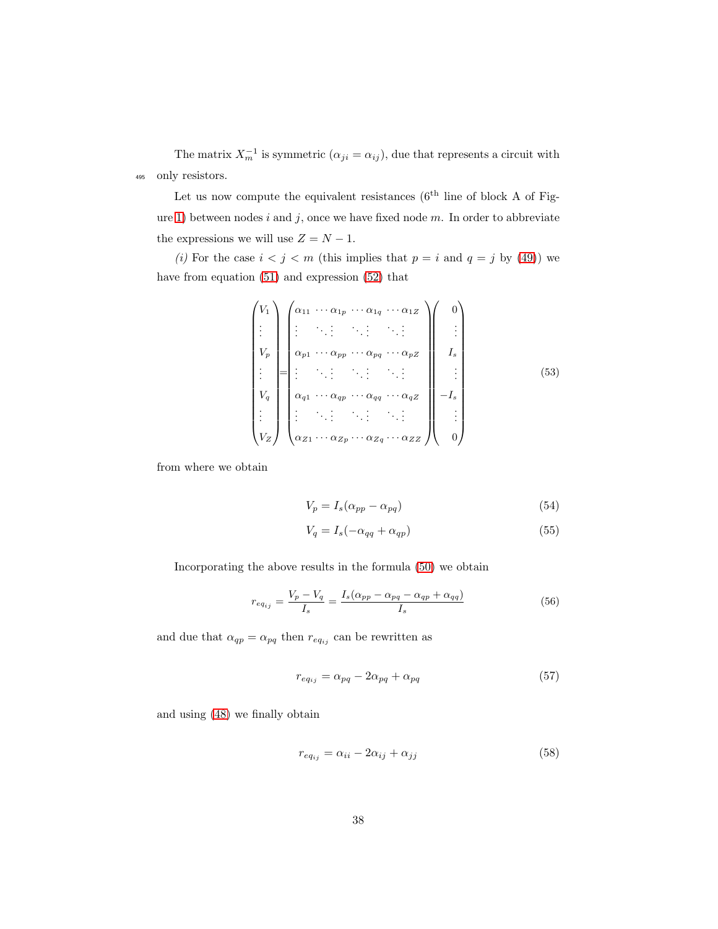The matrix  $X_m^{-1}$  is symmetric  $(\alpha_{ji} = \alpha_{ij})$ , due that represents a circuit with <sup>495</sup> only resistors.

Let us now compute the equivalent resistances  $(6^{th}$  line of block A of Fig-ure [1\)](#page-6-0) between nodes i and j, once we have fixed node  $m$ . In order to abbreviate the expressions we will use  $Z = N - 1$ .

(i) For the case  $i < j < m$  (this implies that  $p = i$  and  $q = j$  by [\(49\)](#page-35-2)) we have from equation [\(51\)](#page-36-3) and expression [\(52\)](#page-36-4) that

<span id="page-37-0"></span>
$$
\begin{pmatrix}\nV_1 \\
\vdots \\
V_p \\
\vdots \\
V_q \\
\vdots \\
V_q\n\end{pmatrix}\n\begin{pmatrix}\n\alpha_{11} & \cdots & \alpha_{1p} & \cdots & \alpha_{1q} & \cdots & \alpha_{1Z} \\
\vdots & \ddots & \vdots & \ddots & \vdots & \ddots \\
\alpha_{p1} & \cdots & \alpha_{pp} & \cdots & \alpha_{pq} & \cdots & \alpha_{pZ} \\
\vdots & \ddots & \vdots & \ddots & \vdots & \ddots & \vdots \\
\alpha_{q1} & \cdots & \alpha_{qp} & \cdots & \alpha_{qq} & \cdots & \alpha_{qZ} \\
\vdots & \vdots & \ddots & \vdots & \ddots & \vdots & \ddots & \vdots \\
\alpha_{Z1} & \cdots & \alpha_{Zp} & \cdots & \alpha_{Zq} & \cdots & \alpha_{ZZ}\n\end{pmatrix}\n\begin{pmatrix}\n0 \\
\vdots \\
1 \\
-1 \\
\vdots \\
0\n\end{pmatrix}
$$
\n(53)

from where we obtain

$$
V_p = I_s(\alpha_{pp} - \alpha_{pq})\tag{54}
$$

$$
V_q = I_s(-\alpha_{qq} + \alpha_{qp})\tag{55}
$$

Incorporating the above results in the formula [\(50\)](#page-35-1) we obtain

$$
r_{eq_{ij}} = \frac{V_p - V_q}{I_s} = \frac{I_s(\alpha_{pp} - \alpha_{pq} - \alpha_{qp} + \alpha_{qq})}{I_s}
$$
\n
$$
(56)
$$

and due that  $\alpha_{qp} = \alpha_{pq}$  then  $r_{eq_{ij}}$  can be rewritten as

<span id="page-37-2"></span><span id="page-37-1"></span>
$$
r_{eq_{ij}} = \alpha_{pq} - 2\alpha_{pq} + \alpha_{pq} \tag{57}
$$

and using [\(48\)](#page-35-3) we finally obtain

$$
r_{eq_{ij}} = \alpha_{ii} - 2\alpha_{ij} + \alpha_{jj} \tag{58}
$$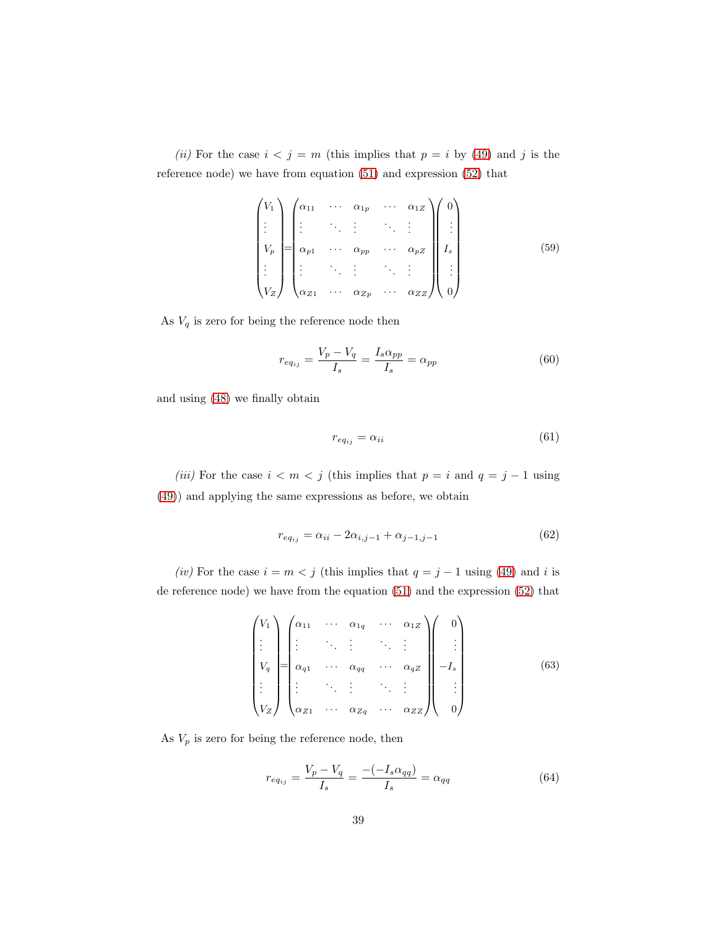(ii) For the case  $i < j = m$  (this implies that  $p = i$  by [\(49\)](#page-35-2) and j is the reference node) we have from equation [\(51\)](#page-36-3) and expression [\(52\)](#page-36-4) that

$$
\begin{pmatrix}\nV_1 \\
\vdots \\
V_p \\
\vdots \\
V_z\n\end{pmatrix}\n\begin{pmatrix}\n\alpha_{11} & \cdots & \alpha_{1p} & \cdots & \alpha_{1z} \\
\vdots & \ddots & \vdots & \ddots & \vdots \\
\alpha_{p1} & \cdots & \alpha_{pp} & \cdots & \alpha_{pz} \\
\vdots & \ddots & \vdots & \ddots & \vdots \\
\alpha_{z1} & \cdots & \alpha_{zp} & \cdots & \alpha_{zz}\n\end{pmatrix}\n\begin{pmatrix}\n0 \\
\vdots \\
I_s \\
\vdots \\
0\n\end{pmatrix}
$$
\n(59)

As  ${\cal V}_q$  is zero for being the reference node then

$$
r_{eq_{ij}} = \frac{V_p - V_q}{I_s} = \frac{I_s \alpha_{pp}}{I_s} = \alpha_{pp} \tag{60}
$$

and using [\(48\)](#page-35-3) we finally obtain

<span id="page-38-1"></span><span id="page-38-0"></span>
$$
r_{eq_{ij}} = \alpha_{ii} \tag{61}
$$

(iii) For the case  $i < m < j$  (this implies that  $p = i$  and  $q = j - 1$  using [\(49\)](#page-35-2)) and applying the same expressions as before, we obtain

$$
r_{eq_{ij}} = \alpha_{ii} - 2\alpha_{i,j-1} + \alpha_{j-1,j-1}
$$
\n(62)

(iv) For the case  $i = m < j$  (this implies that  $q = j - 1$  using [\(49\)](#page-35-2) and i is de reference node) we have from the equation [\(51\)](#page-36-3) and the expression [\(52\)](#page-36-4) that

$$
\begin{pmatrix}\nV_1 \\
\vdots \\
V_q \\
\vdots \\
V_Z\n\end{pmatrix}\n=\n\begin{pmatrix}\n\alpha_{11} & \cdots & \alpha_{1q} & \cdots & \alpha_{1Z} \\
\vdots & \ddots & \vdots & \ddots & \vdots \\
\alpha_{q1} & \cdots & \alpha_{qq} & \cdots & \alpha_{qZ} \\
\vdots & \ddots & \vdots & \ddots & \vdots \\
\alpha_{Z1} & \cdots & \alpha_{Zq} & \cdots & \alpha_{ZZ}\n\end{pmatrix}\n\begin{pmatrix}\n0 \\
\vdots \\
-I_s \\
\vdots \\
0\n\end{pmatrix}
$$
\n(63)

As  $V_p$  is zero for being the reference node, then

$$
r_{eq_{ij}} = \frac{V_p - V_q}{I_s} = \frac{-(-I_s \alpha_{qq})}{I_s} = \alpha_{qq} \tag{64}
$$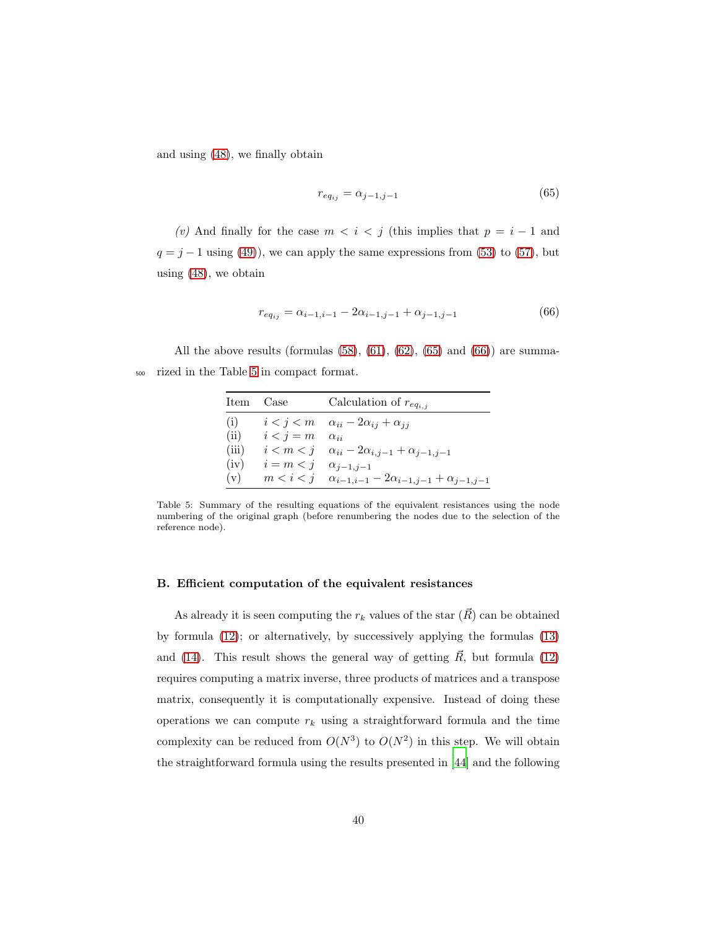and using [\(48\)](#page-35-3), we finally obtain

<span id="page-39-2"></span>
$$
r_{eq_{ij}} = \alpha_{j-1,j-1} \tag{65}
$$

(v) And finally for the case  $m < i < j$  (this implies that  $p = i - 1$  and  $q = j - 1$  using [\(49\)](#page-35-2)), we can apply the same expressions from [\(53\)](#page-37-0) to [\(57\)](#page-37-1), but using [\(48\)](#page-35-3), we obtain

<span id="page-39-3"></span>
$$
r_{eq_{ij}} = \alpha_{i-1,i-1} - 2\alpha_{i-1,j-1} + \alpha_{j-1,j-1}
$$
\n(66)

<span id="page-39-0"></span>All the above results (formulas  $(58)$ ,  $(61)$ ,  $(62)$ ,  $(65)$  and  $(66)$ ) are summa-<sup>500</sup> rized in the Table [5](#page-39-0) in compact format.

| Item Case |                                    | Calculation of $r_{eq_{i,j}}$                                         |
|-----------|------------------------------------|-----------------------------------------------------------------------|
| (i)       |                                    | $i < j < m$ $\alpha_{ii} - 2\alpha_{ij} + \alpha_{ji}$                |
| (ii)      | $i < j = m$                        | $\alpha_{ii}$                                                         |
| (iii)     |                                    | $i < m < j$ $\alpha_{ii} - 2\alpha_{i,j-1} + \alpha_{j-1,j-1}$        |
| (iv)      | $i = m < j \quad \alpha_{j-1,j-1}$ |                                                                       |
| (v)       |                                    | $m < i < j$ $\alpha_{i-1,i-1} - 2\alpha_{i-1,j-1} + \alpha_{j-1,j-1}$ |

Table 5: Summary of the resulting equations of the equivalent resistances using the node numbering of the original graph (before renumbering the nodes due to the selection of the reference node).

#### <span id="page-39-1"></span>B. Efficient computation of the equivalent resistances

As already it is seen computing the  $r_k$  values of the star  $(R)$  can be obtained by formula [\(12\)](#page-14-0); or alternatively, by successively applying the formulas [\(13\)](#page-14-3) and [\(14\)](#page-14-1). This result shows the general way of getting  $\vec{R}$ , but formula [\(12\)](#page-14-0) requires computing a matrix inverse, three products of matrices and a transpose matrix, consequently it is computationally expensive. Instead of doing these operations we can compute  $r_k$  using a straightforward formula and the time complexity can be reduced from  $O(N^3)$  to  $O(N^2)$  in this step. We will obtain the straightforward formula using the results presented in [\[44\]](#page-46-5) and the following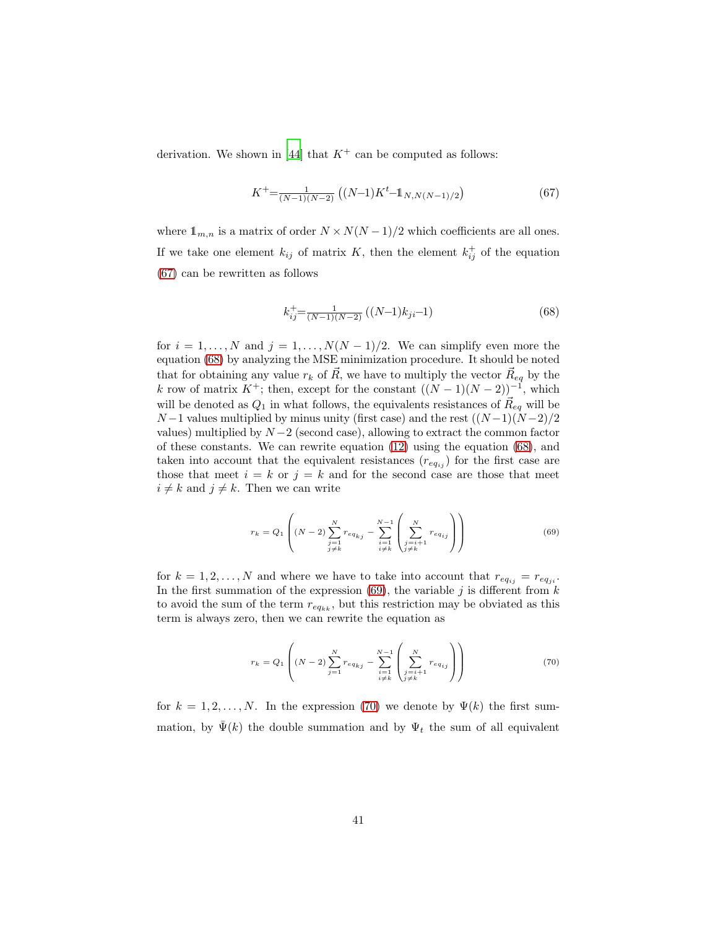derivation. We shown in [\[44](#page-46-5)] that  $K^+$  can be computed as follows:

<span id="page-40-0"></span>
$$
K^{+} = \frac{1}{(N-1)(N-2)} \left( (N-1)K^{t} - \mathbb{1}_{N,N(N-1)/2} \right) \tag{67}
$$

where  $1_{m,n}$  is a matrix of order  $N \times N(N-1)/2$  which coefficients are all ones. If we take one element  $k_{ij}$  of matrix K, then the element  $k_{ij}^+$  of the equation [\(67\)](#page-40-0) can be rewritten as follows

<span id="page-40-1"></span>
$$
k_{ij}^{+} = \frac{1}{(N-1)(N-2)} ((N-1)k_{ji} - 1)
$$
\n(68)

for  $i = 1, \ldots, N$  and  $j = 1, \ldots, N(N-1)/2$ . We can simplify even more the equation [\(68\)](#page-40-1) by analyzing the MSE minimization procedure. It should be noted that for obtaining any value  $r_k$  of  $\vec{R}$ , we have to multiply the vector  $\vec{R}_{eq}$  by the k row of matrix  $K^+$ ; then, except for the constant  $((N-1)(N-2))^{-1}$ , which will be denoted as  $Q_1$  in what follows, the equivalents resistances of  $\vec{R}_{eq}$  will be  $N-1$  values multiplied by minus unity (first case) and the rest  $((N-1)(N-2)/2)$ values) multiplied by  $N-2$  (second case), allowing to extract the common factor of these constants. We can rewrite equation [\(12\)](#page-14-0) using the equation [\(68\)](#page-40-1), and taken into account that the equivalent resistances  $(r_{eq_{ij}})$  for the first case are those that meet  $i = k$  or  $j = k$  and for the second case are those that meet  $i \neq k$  and  $j \neq k$ . Then we can write

<span id="page-40-2"></span>
$$
r_k = Q_1 \left( (N-2) \sum_{\substack{j=1 \ j \neq k}}^N r_{eq_{kj}} - \sum_{\substack{i=1 \ i \neq k}}^{N-1} \left( \sum_{\substack{j=i+1 \ j \neq k}}^N r_{eq_{ij}} \right) \right)
$$
(69)

for  $k = 1, 2, ..., N$  and where we have to take into account that  $r_{eq_{ij}} = r_{eq_{ji}}$ . In the first summation of the expression [\(69\)](#page-40-2), the variable  $j$  is different from  $k$ to avoid the sum of the term  $r_{eq_{kk}}$ , but this restriction may be obviated as this term is always zero, then we can rewrite the equation as

<span id="page-40-3"></span>
$$
r_k = Q_1 \left( (N-2) \sum_{j=1}^{N} r_{eq_{kj}} - \sum_{\substack{i=1 \\ i \neq k}}^{N-1} \left( \sum_{\substack{j=i+1 \\ j \neq k}}^{N} r_{eq_{ij}} \right) \right)
$$
(70)

for  $k = 1, 2, ..., N$ . In the expression [\(70\)](#page-40-3) we denote by  $\Psi(k)$  the first summation, by  $\bar{\Psi}(k)$  the double summation and by  $\Psi_t$  the sum of all equivalent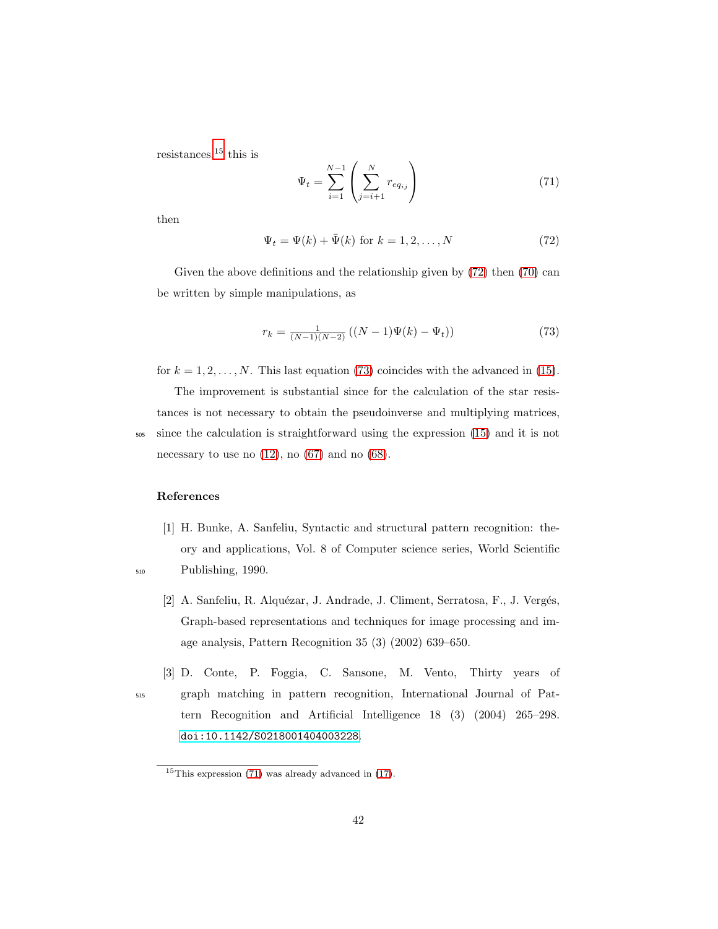resistances,<sup>15</sup> this is

<span id="page-41-5"></span>
$$
\Psi_t = \sum_{i=1}^{N-1} \left( \sum_{j=i+1}^{N} r_{eq_{ij}} \right)
$$
\n(71)

<span id="page-41-3"></span>then

<span id="page-41-4"></span>
$$
\Psi_t = \Psi(k) + \bar{\Psi}(k) \text{ for } k = 1, 2, \dots, N \tag{72}
$$

Given the above definitions and the relationship given by  $(72)$  then  $(70)$  can be written by simple manipulations, as

$$
r_k = \frac{1}{(N-1)(N-2)} ((N-1)\Psi(k) - \Psi_t))
$$
\n(73)

for  $k = 1, 2, \ldots, N$ . This last equation [\(73\)](#page-41-4) coincides with the advanced in [\(15\)](#page-14-2).

The improvement is substantial since for the calculation of the star resistances is not necessary to obtain the pseudoinverse and multiplying matrices, <sup>505</sup> since the calculation is straightforward using the expression [\(15\)](#page-14-2) and it is not necessary to use no  $(12)$ , no  $(67)$  and no  $(68)$ .

# <span id="page-41-0"></span>References

- <span id="page-41-1"></span>[1] H. Bunke, A. Sanfeliu, Syntactic and structural pattern recognition: theory and applications, Vol. 8 of Computer science series, World Scientific <sup>510</sup> Publishing, 1990.
	- [2] A. Sanfeliu, R. Alquézar, J. Andrade, J. Climent, Serratosa, F., J. Vergés, Graph-based representations and techniques for image processing and image analysis, Pattern Recognition 35 (3) (2002) 639–650.
- <span id="page-41-2"></span>[3] D. Conte, P. Foggia, C. Sansone, M. Vento, Thirty years of <sup>515</sup> graph matching in pattern recognition, International Journal of Pattern Recognition and Artificial Intelligence 18 (3) (2004) 265–298. [doi:10.1142/S0218001404003228](http://dx.doi.org/10.1142/S0218001404003228).

 $15$ This expression [\(71\)](#page-41-5) was already advanced in [\(17\)](#page-15-0).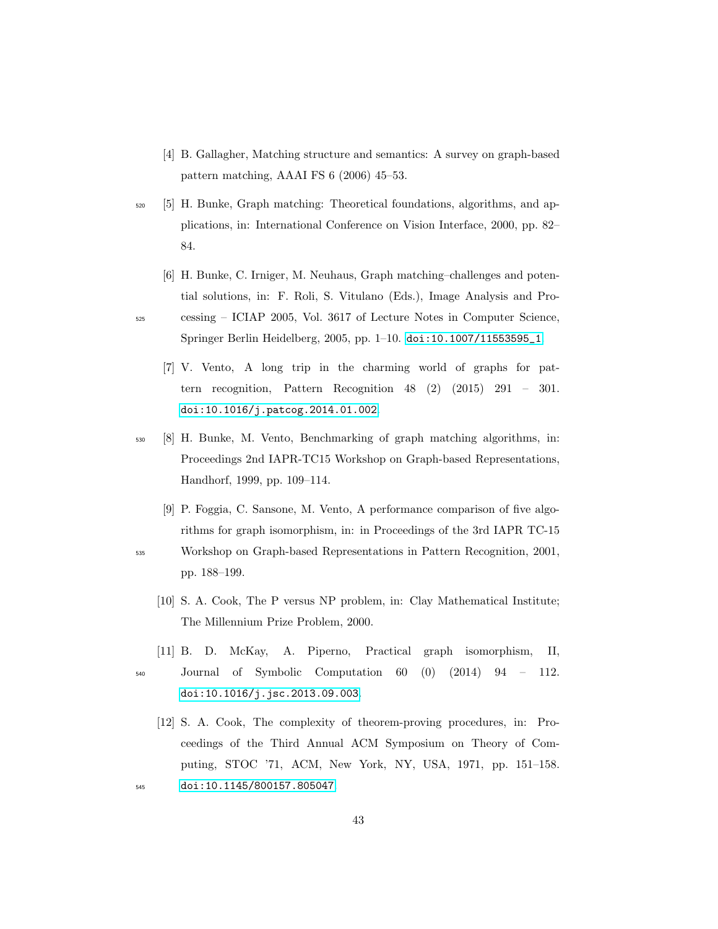- <span id="page-42-0"></span>[4] B. Gallagher, Matching structure and semantics: A survey on graph-based pattern matching, AAAI FS 6 (2006) 45–53.
- <span id="page-42-1"></span><sup>520</sup> [5] H. Bunke, Graph matching: Theoretical foundations, algorithms, and applications, in: International Conference on Vision Interface, 2000, pp. 82– 84.
- <span id="page-42-2"></span>[6] H. Bunke, C. Irniger, M. Neuhaus, Graph matching–challenges and potential solutions, in: F. Roli, S. Vitulano (Eds.), Image Analysis and Pro-<sup>525</sup> cessing – ICIAP 2005, Vol. 3617 of Lecture Notes in Computer Science, Springer Berlin Heidelberg, 2005, pp. 1–10. [doi:10.1007/11553595\\_1](http://dx.doi.org/10.1007/11553595_1).
	- [7] V. Vento, A long trip in the charming world of graphs for pattern recognition, Pattern Recognition 48 (2) (2015) 291 – 301. [doi:10.1016/j.patcog.2014.01.002](http://dx.doi.org/10.1016/j.patcog.2014.01.002).
- <span id="page-42-4"></span><sup>530</sup> [8] H. Bunke, M. Vento, Benchmarking of graph matching algorithms, in: Proceedings 2nd IAPR-TC15 Workshop on Graph-based Representations, Handhorf, 1999, pp. 109–114.
	- [9] P. Foggia, C. Sansone, M. Vento, A performance comparison of five algorithms for graph isomorphism, in: in Proceedings of the 3rd IAPR TC-15
- <span id="page-42-6"></span><span id="page-42-5"></span><sup>535</sup> Workshop on Graph-based Representations in Pattern Recognition, 2001, pp. 188–199.
	- [10] S. A. Cook, The P versus NP problem, in: Clay Mathematical Institute; The Millennium Prize Problem, 2000.
- <span id="page-42-8"></span>[11] B. D. McKay, A. Piperno, Practical graph isomorphism, II, <sup>540</sup> Journal of Symbolic Computation 60 (0) (2014) 94 – 112. [doi:10.1016/j.jsc.2013.09.003](http://dx.doi.org/10.1016/j.jsc.2013.09.003).
- <span id="page-42-7"></span>[12] S. A. Cook, The complexity of theorem-proving procedures, in: Proceedings of the Third Annual ACM Symposium on Theory of Computing, STOC '71, ACM, New York, NY, USA, 1971, pp. 151–158. <sup>545</sup> [doi:10.1145/800157.805047](http://dx.doi.org/10.1145/800157.805047).

<span id="page-42-3"></span>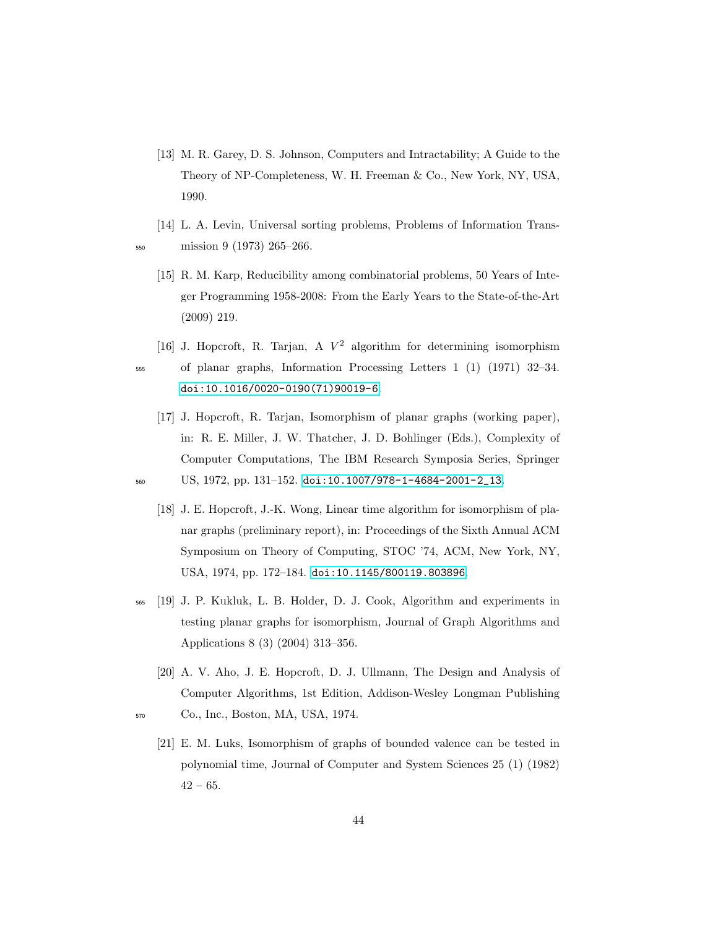- <span id="page-43-0"></span>[13] M. R. Garey, D. S. Johnson, Computers and Intractability; A Guide to the Theory of NP-Completeness, W. H. Freeman & Co., New York, NY, USA, 1990.
- <span id="page-43-2"></span><span id="page-43-1"></span>[14] L. A. Levin, Universal sorting problems, Problems of Information Trans-<sup>550</sup> mission 9 (1973) 265–266.
	- [15] R. M. Karp, Reducibility among combinatorial problems, 50 Years of Integer Programming 1958-2008: From the Early Years to the State-of-the-Art (2009) 219.
- <span id="page-43-3"></span>[16] J. Hopcroft, R. Tarjan, A  $V^2$  algorithm for determining isomorphism <sup>555</sup> of planar graphs, Information Processing Letters 1 (1) (1971) 32–34. [doi:10.1016/0020-0190\(71\)90019-6](http://dx.doi.org/10.1016/0020-0190(71)90019-6).
- <span id="page-43-5"></span><span id="page-43-4"></span>[17] J. Hopcroft, R. Tarjan, Isomorphism of planar graphs (working paper), in: R. E. Miller, J. W. Thatcher, J. D. Bohlinger (Eds.), Complexity of Computer Computations, The IBM Research Symposia Series, Springer <sup>560</sup> US, 1972, pp. 131–152. [doi:10.1007/978-1-4684-2001-2\\_13](http://dx.doi.org/10.1007/978-1-4684-2001-2_13).
	- [18] J. E. Hopcroft, J.-K. Wong, Linear time algorithm for isomorphism of planar graphs (preliminary report), in: Proceedings of the Sixth Annual ACM Symposium on Theory of Computing, STOC '74, ACM, New York, NY, USA, 1974, pp. 172–184. [doi:10.1145/800119.803896](http://dx.doi.org/10.1145/800119.803896).
- <span id="page-43-6"></span><sup>565</sup> [19] J. P. Kukluk, L. B. Holder, D. J. Cook, Algorithm and experiments in testing planar graphs for isomorphism, Journal of Graph Algorithms and Applications 8 (3) (2004) 313–356.
- <span id="page-43-8"></span><span id="page-43-7"></span>[20] A. V. Aho, J. E. Hopcroft, D. J. Ullmann, The Design and Analysis of Computer Algorithms, 1st Edition, Addison-Wesley Longman Publishing <sup>570</sup> Co., Inc., Boston, MA, USA, 1974.
	- [21] E. M. Luks, Isomorphism of graphs of bounded valence can be tested in polynomial time, Journal of Computer and System Sciences 25 (1) (1982)  $42 - 65.$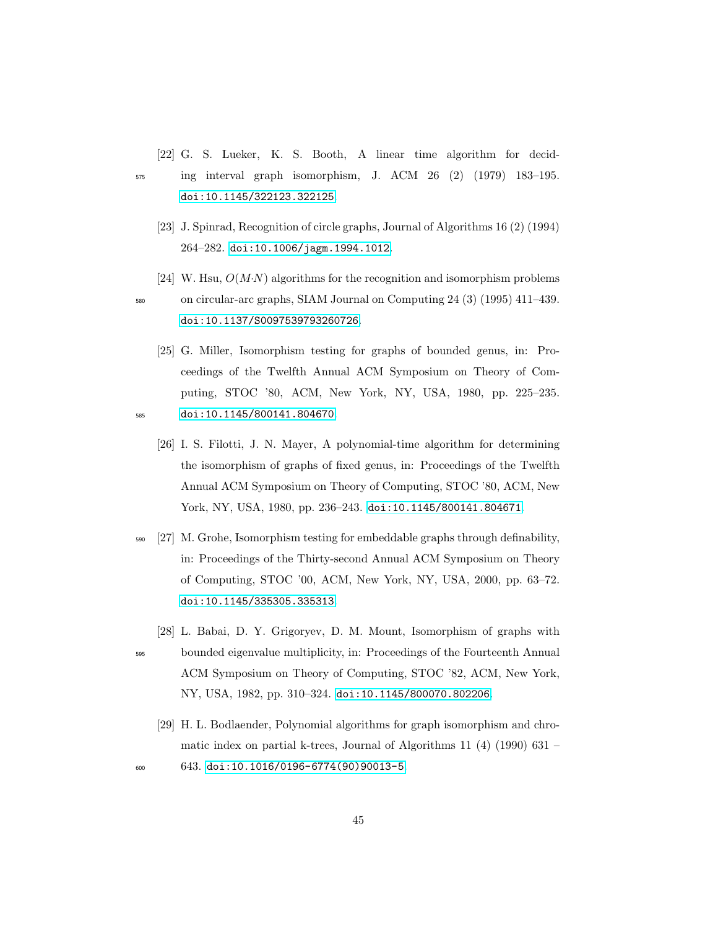<span id="page-44-0"></span>[22] G. S. Lueker, K. S. Booth, A linear time algorithm for decid-

<sup>575</sup> ing interval graph isomorphism, J. ACM 26 (2) (1979) 183–195. [doi:10.1145/322123.322125](http://dx.doi.org/10.1145/322123.322125).

- <span id="page-44-1"></span>[23] J. Spinrad, Recognition of circle graphs, Journal of Algorithms 16 (2) (1994) 264–282. [doi:10.1006/jagm.1994.1012](http://dx.doi.org/10.1006/jagm.1994.1012).
- <span id="page-44-2"></span>[24] W. Hsu,  $O(M \cdot N)$  algorithms for the recognition and isomorphism problems

<sup>580</sup> on circular-arc graphs, SIAM Journal on Computing 24 (3) (1995) 411–439. [doi:10.1137/S0097539793260726](http://dx.doi.org/10.1137/S0097539793260726).

- <span id="page-44-4"></span><span id="page-44-3"></span>[25] G. Miller, Isomorphism testing for graphs of bounded genus, in: Proceedings of the Twelfth Annual ACM Symposium on Theory of Computing, STOC '80, ACM, New York, NY, USA, 1980, pp. 225–235. <sup>585</sup> [doi:10.1145/800141.804670](http://dx.doi.org/10.1145/800141.804670).
	- [26] I. S. Filotti, J. N. Mayer, A polynomial-time algorithm for determining the isomorphism of graphs of fixed genus, in: Proceedings of the Twelfth Annual ACM Symposium on Theory of Computing, STOC '80, ACM, New York, NY, USA, 1980, pp. 236–243. [doi:10.1145/800141.804671](http://dx.doi.org/10.1145/800141.804671).
- <span id="page-44-5"></span><sup>590</sup> [27] M. Grohe, Isomorphism testing for embeddable graphs through definability, in: Proceedings of the Thirty-second Annual ACM Symposium on Theory of Computing, STOC '00, ACM, New York, NY, USA, 2000, pp. 63–72. [doi:10.1145/335305.335313](http://dx.doi.org/10.1145/335305.335313).
- <span id="page-44-6"></span>[28] L. Babai, D. Y. Grigoryev, D. M. Mount, Isomorphism of graphs with <sup>595</sup> bounded eigenvalue multiplicity, in: Proceedings of the Fourteenth Annual ACM Symposium on Theory of Computing, STOC '82, ACM, New York, NY, USA, 1982, pp. 310–324. [doi:10.1145/800070.802206](http://dx.doi.org/10.1145/800070.802206).
- <span id="page-44-7"></span>[29] H. L. Bodlaender, Polynomial algorithms for graph isomorphism and chromatic index on partial k-trees, Journal of Algorithms 11 (4) (1990) 631 –  $600$  643. [doi:10.1016/0196-6774\(90\)90013-5](http://dx.doi.org/10.1016/0196-6774(90)90013-5).
	- 45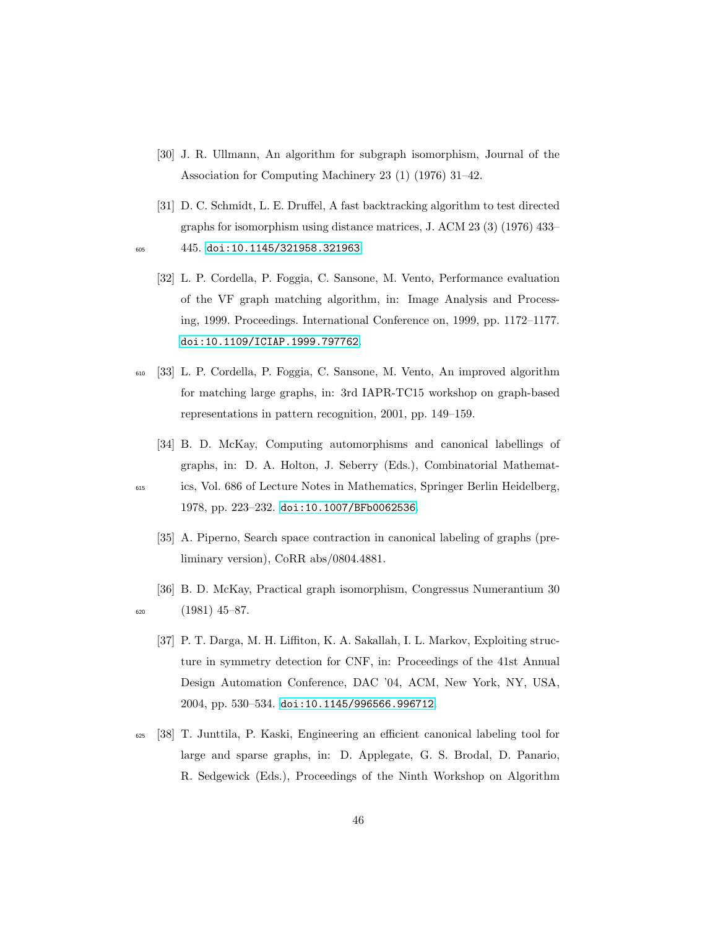- <span id="page-45-0"></span>[30] J. R. Ullmann, An algorithm for subgraph isomorphism, Journal of the Association for Computing Machinery 23 (1) (1976) 31–42.
- <span id="page-45-2"></span><span id="page-45-1"></span>[31] D. C. Schmidt, L. E. Druffel, A fast backtracking algorithm to test directed graphs for isomorphism using distance matrices, J. ACM 23 (3) (1976) 433– <sup>605</sup> 445. [doi:10.1145/321958.321963](http://dx.doi.org/10.1145/321958.321963).
	- [32] L. P. Cordella, P. Foggia, C. Sansone, M. Vento, Performance evaluation of the VF graph matching algorithm, in: Image Analysis and Processing, 1999. Proceedings. International Conference on, 1999, pp. 1172–1177. [doi:10.1109/ICIAP.1999.797762](http://dx.doi.org/10.1109/ICIAP.1999.797762).
- <span id="page-45-3"></span><sup>610</sup> [33] L. P. Cordella, P. Foggia, C. Sansone, M. Vento, An improved algorithm for matching large graphs, in: 3rd IAPR-TC15 workshop on graph-based representations in pattern recognition, 2001, pp. 149–159.
	- [34] B. D. McKay, Computing automorphisms and canonical labellings of graphs, in: D. A. Holton, J. Seberry (Eds.), Combinatorial Mathemat-
- <span id="page-45-5"></span>
- <span id="page-45-4"></span><sup>615</sup> ics, Vol. 686 of Lecture Notes in Mathematics, Springer Berlin Heidelberg, 1978, pp. 223–232. [doi:10.1007/BFb0062536](http://dx.doi.org/10.1007/BFb0062536).
	- [35] A. Piperno, Search space contraction in canonical labeling of graphs (preliminary version), CoRR abs/0804.4881.
- <span id="page-45-7"></span><span id="page-45-6"></span>[36] B. D. McKay, Practical graph isomorphism, Congressus Numerantium 30  $620$   $(1981)$   $45-87$ .
	- [37] P. T. Darga, M. H. Liffiton, K. A. Sakallah, I. L. Markov, Exploiting structure in symmetry detection for CNF, in: Proceedings of the 41st Annual Design Automation Conference, DAC '04, ACM, New York, NY, USA, 2004, pp. 530–534. [doi:10.1145/996566.996712](http://dx.doi.org/10.1145/996566.996712).
- <span id="page-45-8"></span><sup>625</sup> [38] T. Junttila, P. Kaski, Engineering an efficient canonical labeling tool for large and sparse graphs, in: D. Applegate, G. S. Brodal, D. Panario, R. Sedgewick (Eds.), Proceedings of the Ninth Workshop on Algorithm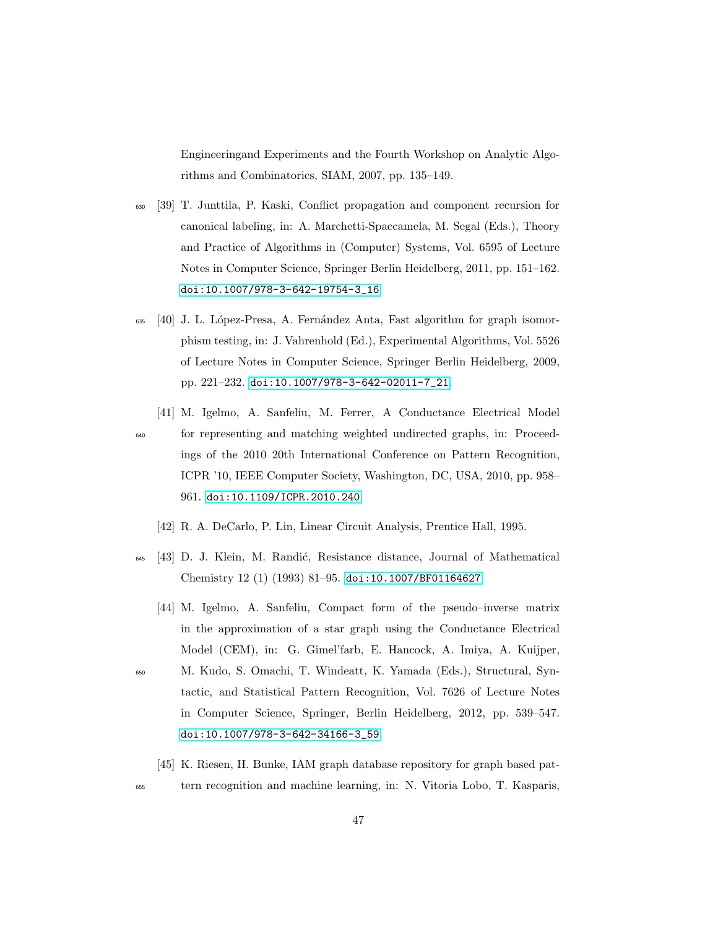Engineeringand Experiments and the Fourth Workshop on Analytic Algorithms and Combinatorics, SIAM, 2007, pp. 135–149.

- <span id="page-46-0"></span><sup>630</sup> [39] T. Junttila, P. Kaski, Conflict propagation and component recursion for canonical labeling, in: A. Marchetti-Spaccamela, M. Segal (Eds.), Theory and Practice of Algorithms in (Computer) Systems, Vol. 6595 of Lecture Notes in Computer Science, Springer Berlin Heidelberg, 2011, pp. 151–162. [doi:10.1007/978-3-642-19754-3\\_16](http://dx.doi.org/10.1007/978-3-642-19754-3_16).
- <span id="page-46-1"></span><sup>635</sup> [40] J. L. L´opez-Presa, A. Fern´andez Anta, Fast algorithm for graph isomorphism testing, in: J. Vahrenhold (Ed.), Experimental Algorithms, Vol. 5526 of Lecture Notes in Computer Science, Springer Berlin Heidelberg, 2009, pp. 221–232. [doi:10.1007/978-3-642-02011-7\\_21](http://dx.doi.org/10.1007/978-3-642-02011-7_21).
- <span id="page-46-2"></span>[41] M. Igelmo, A. Sanfeliu, M. Ferrer, A Conductance Electrical Model <sup>640</sup> for representing and matching weighted undirected graphs, in: Proceedings of the 2010 20th International Conference on Pattern Recognition, ICPR '10, IEEE Computer Society, Washington, DC, USA, 2010, pp. 958– 961. [doi:10.1109/ICPR.2010.240](http://dx.doi.org/10.1109/ICPR.2010.240).
	- [42] R. A. DeCarlo, P. Lin, Linear Circuit Analysis, Prentice Hall, 1995.
- <span id="page-46-5"></span><span id="page-46-4"></span><span id="page-46-3"></span><sup>645</sup> [43] D. J. Klein, M. Randić, Resistance distance, Journal of Mathematical Chemistry 12 (1) (1993) 81–95. [doi:10.1007/BF01164627](http://dx.doi.org/10.1007/BF01164627).
	- [44] M. Igelmo, A. Sanfeliu, Compact form of the pseudo–inverse matrix in the approximation of a star graph using the Conductance Electrical Model (CEM), in: G. Gimel'farb, E. Hancock, A. Imiya, A. Kuijper,
- <sup>650</sup> M. Kudo, S. Omachi, T. Windeatt, K. Yamada (Eds.), Structural, Syntactic, and Statistical Pattern Recognition, Vol. 7626 of Lecture Notes in Computer Science, Springer, Berlin Heidelberg, 2012, pp. 539–547. [doi:10.1007/978-3-642-34166-3\\_59](http://dx.doi.org/10.1007/978-3-642-34166-3_59).
	- [45] K. Riesen, H. Bunke, IAM graph database repository for graph based pat-
- <span id="page-46-6"></span><sup>655</sup> tern recognition and machine learning, in: N. Vitoria Lobo, T. Kasparis,
	- 47